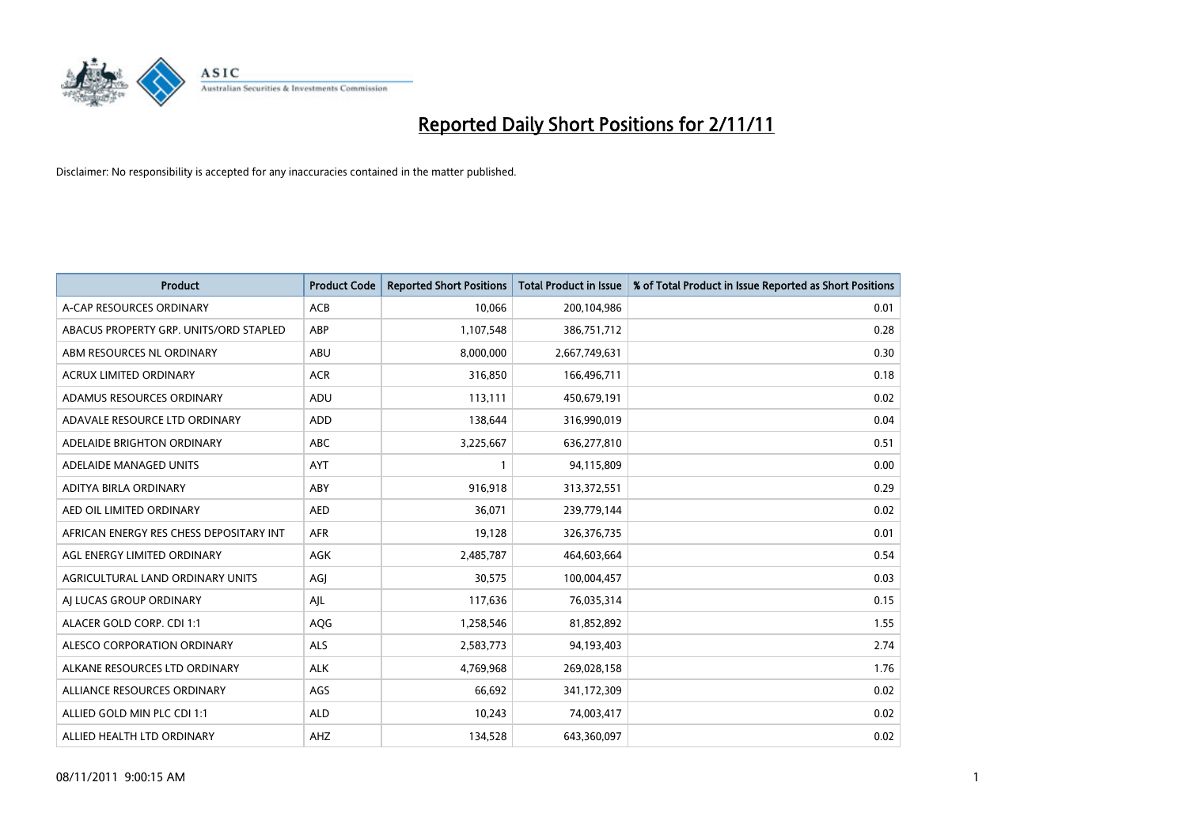

| <b>Product</b>                          | <b>Product Code</b> | <b>Reported Short Positions</b> | <b>Total Product in Issue</b> | % of Total Product in Issue Reported as Short Positions |
|-----------------------------------------|---------------------|---------------------------------|-------------------------------|---------------------------------------------------------|
| A-CAP RESOURCES ORDINARY                | <b>ACB</b>          | 10,066                          | 200,104,986                   | 0.01                                                    |
| ABACUS PROPERTY GRP. UNITS/ORD STAPLED  | ABP                 | 1,107,548                       | 386,751,712                   | 0.28                                                    |
| ABM RESOURCES NL ORDINARY               | <b>ABU</b>          | 8,000,000                       | 2,667,749,631                 | 0.30                                                    |
| ACRUX LIMITED ORDINARY                  | <b>ACR</b>          | 316,850                         | 166,496,711                   | 0.18                                                    |
| ADAMUS RESOURCES ORDINARY               | ADU                 | 113,111                         | 450,679,191                   | 0.02                                                    |
| ADAVALE RESOURCE LTD ORDINARY           | <b>ADD</b>          | 138,644                         | 316,990,019                   | 0.04                                                    |
| ADELAIDE BRIGHTON ORDINARY              | <b>ABC</b>          | 3,225,667                       | 636,277,810                   | 0.51                                                    |
| ADELAIDE MANAGED UNITS                  | <b>AYT</b>          |                                 | 94,115,809                    | 0.00                                                    |
| ADITYA BIRLA ORDINARY                   | ABY                 | 916,918                         | 313,372,551                   | 0.29                                                    |
| AED OIL LIMITED ORDINARY                | <b>AED</b>          | 36,071                          | 239,779,144                   | 0.02                                                    |
| AFRICAN ENERGY RES CHESS DEPOSITARY INT | <b>AFR</b>          | 19,128                          | 326, 376, 735                 | 0.01                                                    |
| AGL ENERGY LIMITED ORDINARY             | <b>AGK</b>          | 2,485,787                       | 464,603,664                   | 0.54                                                    |
| AGRICULTURAL LAND ORDINARY UNITS        | AGI                 | 30,575                          | 100,004,457                   | 0.03                                                    |
| AI LUCAS GROUP ORDINARY                 | AJL                 | 117,636                         | 76,035,314                    | 0.15                                                    |
| ALACER GOLD CORP. CDI 1:1               | AQG                 | 1,258,546                       | 81,852,892                    | 1.55                                                    |
| ALESCO CORPORATION ORDINARY             | ALS                 | 2,583,773                       | 94,193,403                    | 2.74                                                    |
| ALKANE RESOURCES LTD ORDINARY           | <b>ALK</b>          | 4,769,968                       | 269,028,158                   | 1.76                                                    |
| ALLIANCE RESOURCES ORDINARY             | AGS                 | 66,692                          | 341,172,309                   | 0.02                                                    |
| ALLIED GOLD MIN PLC CDI 1:1             | <b>ALD</b>          | 10,243                          | 74,003,417                    | 0.02                                                    |
| ALLIED HEALTH LTD ORDINARY              | AHZ                 | 134,528                         | 643,360,097                   | 0.02                                                    |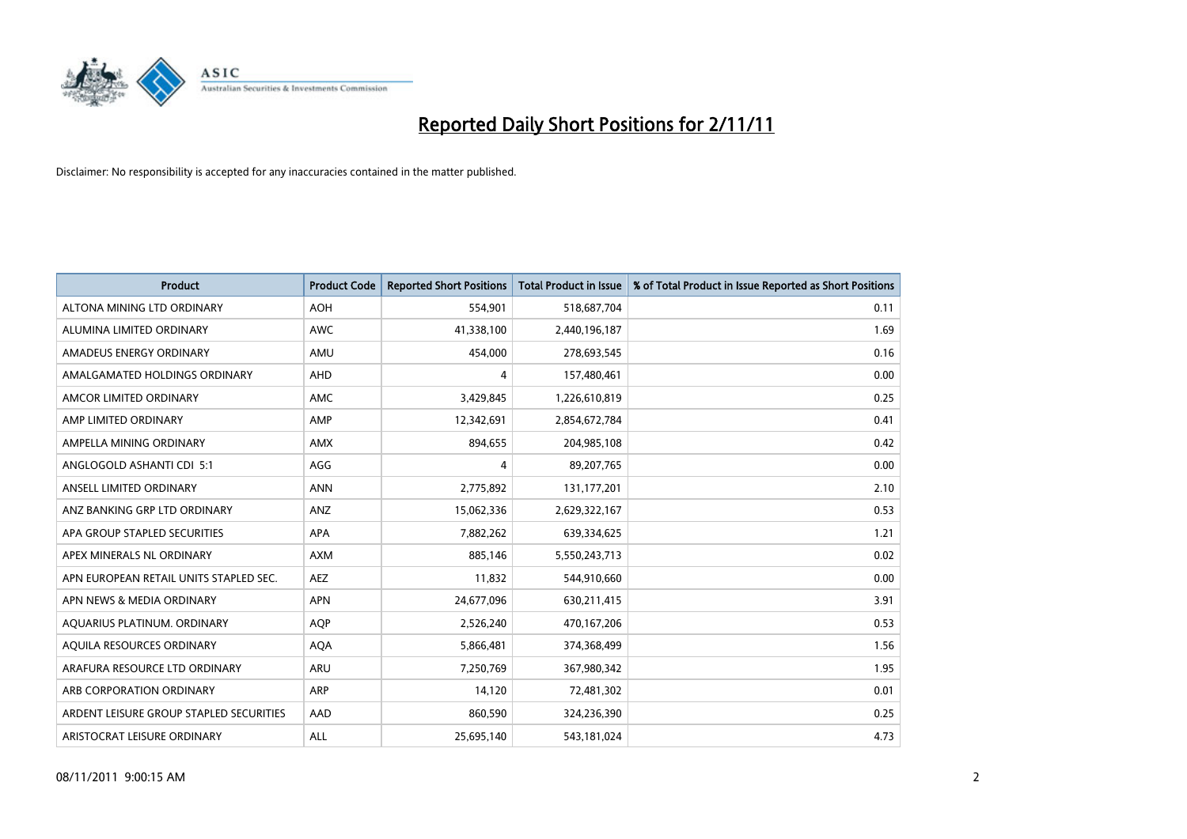

| <b>Product</b>                          | <b>Product Code</b> | <b>Reported Short Positions</b> | <b>Total Product in Issue</b> | % of Total Product in Issue Reported as Short Positions |
|-----------------------------------------|---------------------|---------------------------------|-------------------------------|---------------------------------------------------------|
| ALTONA MINING LTD ORDINARY              | <b>AOH</b>          | 554,901                         | 518,687,704                   | 0.11                                                    |
| ALUMINA LIMITED ORDINARY                | <b>AWC</b>          | 41,338,100                      | 2,440,196,187                 | 1.69                                                    |
| AMADEUS ENERGY ORDINARY                 | AMU                 | 454,000                         | 278,693,545                   | 0.16                                                    |
| AMALGAMATED HOLDINGS ORDINARY           | <b>AHD</b>          | 4                               | 157,480,461                   | 0.00                                                    |
| AMCOR LIMITED ORDINARY                  | <b>AMC</b>          | 3,429,845                       | 1,226,610,819                 | 0.25                                                    |
| AMP LIMITED ORDINARY                    | AMP                 | 12,342,691                      | 2,854,672,784                 | 0.41                                                    |
| AMPELLA MINING ORDINARY                 | <b>AMX</b>          | 894,655                         | 204,985,108                   | 0.42                                                    |
| ANGLOGOLD ASHANTI CDI 5:1               | AGG                 | 4                               | 89,207,765                    | 0.00                                                    |
| ANSELL LIMITED ORDINARY                 | <b>ANN</b>          | 2,775,892                       | 131,177,201                   | 2.10                                                    |
| ANZ BANKING GRP LTD ORDINARY            | ANZ                 | 15,062,336                      | 2,629,322,167                 | 0.53                                                    |
| APA GROUP STAPLED SECURITIES            | <b>APA</b>          | 7,882,262                       | 639,334,625                   | 1.21                                                    |
| APEX MINERALS NL ORDINARY               | <b>AXM</b>          | 885,146                         | 5,550,243,713                 | 0.02                                                    |
| APN EUROPEAN RETAIL UNITS STAPLED SEC.  | <b>AEZ</b>          | 11,832                          | 544,910,660                   | 0.00                                                    |
| APN NEWS & MEDIA ORDINARY               | <b>APN</b>          | 24,677,096                      | 630,211,415                   | 3.91                                                    |
| AQUARIUS PLATINUM. ORDINARY             | <b>AOP</b>          | 2,526,240                       | 470,167,206                   | 0.53                                                    |
| AQUILA RESOURCES ORDINARY               | <b>AQA</b>          | 5,866,481                       | 374,368,499                   | 1.56                                                    |
| ARAFURA RESOURCE LTD ORDINARY           | <b>ARU</b>          | 7,250,769                       | 367,980,342                   | 1.95                                                    |
| ARB CORPORATION ORDINARY                | <b>ARP</b>          | 14,120                          | 72,481,302                    | 0.01                                                    |
| ARDENT LEISURE GROUP STAPLED SECURITIES | AAD                 | 860,590                         | 324,236,390                   | 0.25                                                    |
| ARISTOCRAT LEISURE ORDINARY             | <b>ALL</b>          | 25,695,140                      | 543,181,024                   | 4.73                                                    |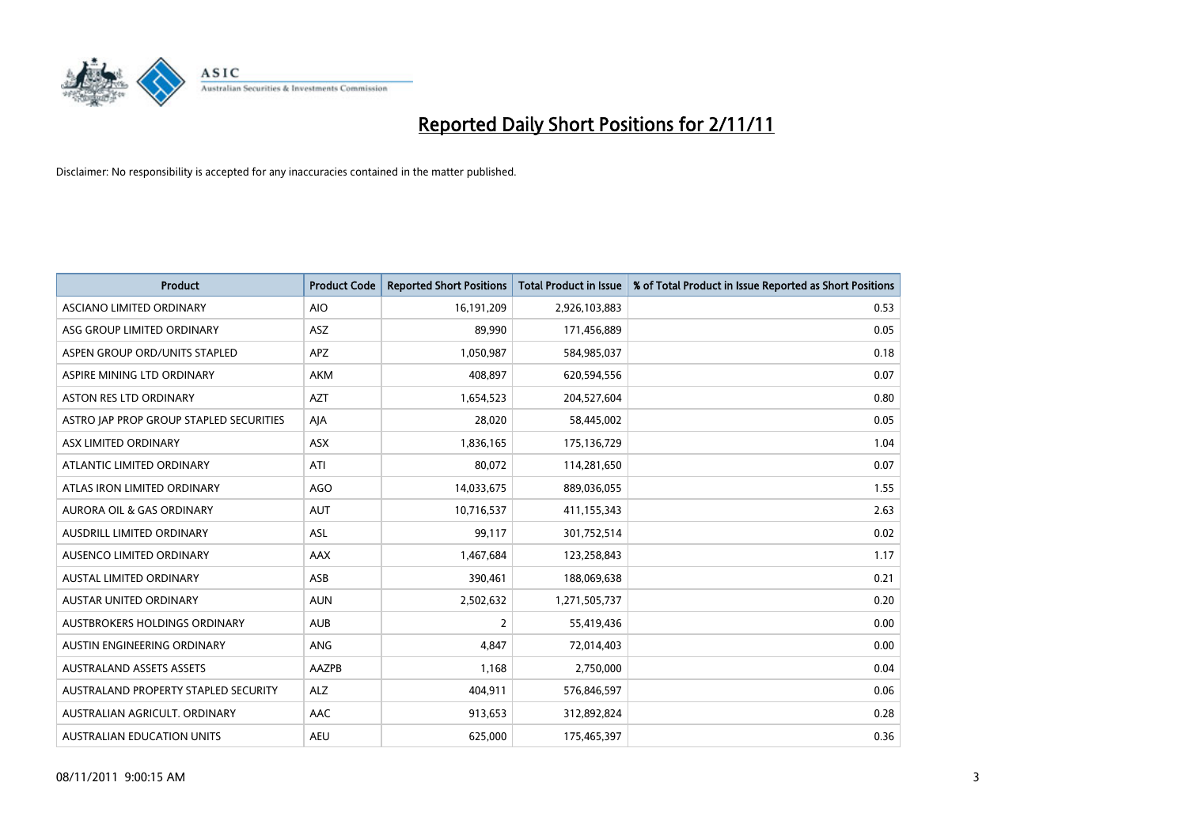

| <b>Product</b>                          | <b>Product Code</b> | <b>Reported Short Positions</b> | <b>Total Product in Issue</b> | % of Total Product in Issue Reported as Short Positions |
|-----------------------------------------|---------------------|---------------------------------|-------------------------------|---------------------------------------------------------|
| ASCIANO LIMITED ORDINARY                | <b>AIO</b>          | 16,191,209                      | 2,926,103,883                 | 0.53                                                    |
| ASG GROUP LIMITED ORDINARY              | ASZ                 | 89,990                          | 171,456,889                   | 0.05                                                    |
| ASPEN GROUP ORD/UNITS STAPLED           | <b>APZ</b>          | 1,050,987                       | 584,985,037                   | 0.18                                                    |
| ASPIRE MINING LTD ORDINARY              | <b>AKM</b>          | 408,897                         | 620,594,556                   | 0.07                                                    |
| <b>ASTON RES LTD ORDINARY</b>           | <b>AZT</b>          | 1,654,523                       | 204,527,604                   | 0.80                                                    |
| ASTRO JAP PROP GROUP STAPLED SECURITIES | AJA                 | 28,020                          | 58,445,002                    | 0.05                                                    |
| ASX LIMITED ORDINARY                    | <b>ASX</b>          | 1,836,165                       | 175,136,729                   | 1.04                                                    |
| ATLANTIC LIMITED ORDINARY               | ATI                 | 80,072                          | 114,281,650                   | 0.07                                                    |
| ATLAS IRON LIMITED ORDINARY             | <b>AGO</b>          | 14,033,675                      | 889,036,055                   | 1.55                                                    |
| <b>AURORA OIL &amp; GAS ORDINARY</b>    | <b>AUT</b>          | 10,716,537                      | 411,155,343                   | 2.63                                                    |
| AUSDRILL LIMITED ORDINARY               | <b>ASL</b>          | 99,117                          | 301,752,514                   | 0.02                                                    |
| <b>AUSENCO LIMITED ORDINARY</b>         | AAX                 | 1,467,684                       | 123,258,843                   | 1.17                                                    |
| AUSTAL LIMITED ORDINARY                 | ASB                 | 390,461                         | 188,069,638                   | 0.21                                                    |
| <b>AUSTAR UNITED ORDINARY</b>           | <b>AUN</b>          | 2,502,632                       | 1,271,505,737                 | 0.20                                                    |
| AUSTBROKERS HOLDINGS ORDINARY           | <b>AUB</b>          | 2                               | 55,419,436                    | 0.00                                                    |
| AUSTIN ENGINEERING ORDINARY             | ANG                 | 4,847                           | 72,014,403                    | 0.00                                                    |
| <b>AUSTRALAND ASSETS ASSETS</b>         | AAZPB               | 1,168                           | 2,750,000                     | 0.04                                                    |
| AUSTRALAND PROPERTY STAPLED SECURITY    | <b>ALZ</b>          | 404,911                         | 576,846,597                   | 0.06                                                    |
| AUSTRALIAN AGRICULT, ORDINARY           | AAC                 | 913,653                         | 312,892,824                   | 0.28                                                    |
| <b>AUSTRALIAN EDUCATION UNITS</b>       | <b>AEU</b>          | 625.000                         | 175,465,397                   | 0.36                                                    |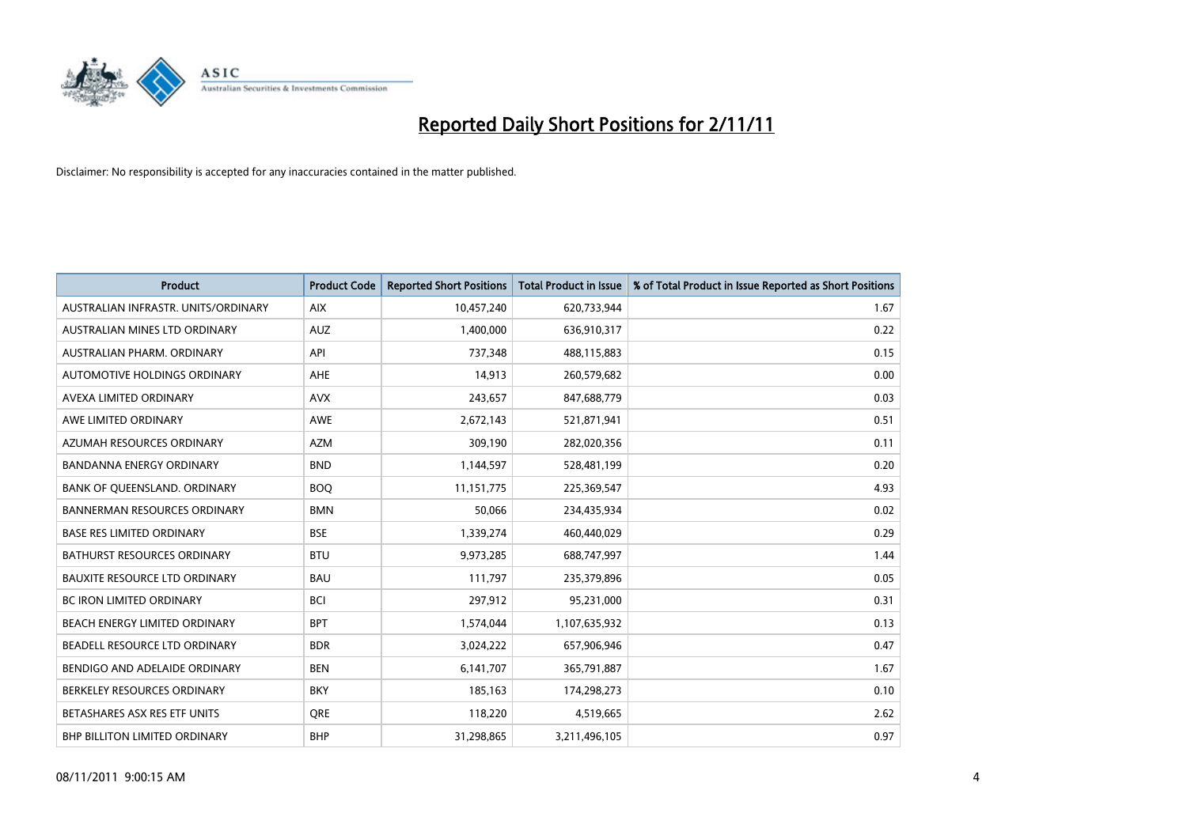

| <b>Product</b>                       | <b>Product Code</b> | <b>Reported Short Positions</b> | <b>Total Product in Issue</b> | % of Total Product in Issue Reported as Short Positions |
|--------------------------------------|---------------------|---------------------------------|-------------------------------|---------------------------------------------------------|
| AUSTRALIAN INFRASTR, UNITS/ORDINARY  | <b>AIX</b>          | 10,457,240                      | 620,733,944                   | 1.67                                                    |
| AUSTRALIAN MINES LTD ORDINARY        | <b>AUZ</b>          | 1,400,000                       | 636,910,317                   | 0.22                                                    |
| AUSTRALIAN PHARM, ORDINARY           | API                 | 737,348                         | 488,115,883                   | 0.15                                                    |
| AUTOMOTIVE HOLDINGS ORDINARY         | <b>AHE</b>          | 14,913                          | 260,579,682                   | 0.00                                                    |
| AVEXA LIMITED ORDINARY               | <b>AVX</b>          | 243,657                         | 847,688,779                   | 0.03                                                    |
| AWE LIMITED ORDINARY                 | <b>AWE</b>          | 2,672,143                       | 521,871,941                   | 0.51                                                    |
| AZUMAH RESOURCES ORDINARY            | <b>AZM</b>          | 309,190                         | 282,020,356                   | 0.11                                                    |
| <b>BANDANNA ENERGY ORDINARY</b>      | <b>BND</b>          | 1,144,597                       | 528,481,199                   | 0.20                                                    |
| BANK OF QUEENSLAND. ORDINARY         | <b>BOQ</b>          | 11,151,775                      | 225,369,547                   | 4.93                                                    |
| <b>BANNERMAN RESOURCES ORDINARY</b>  | <b>BMN</b>          | 50,066                          | 234,435,934                   | 0.02                                                    |
| <b>BASE RES LIMITED ORDINARY</b>     | <b>BSE</b>          | 1,339,274                       | 460,440,029                   | 0.29                                                    |
| <b>BATHURST RESOURCES ORDINARY</b>   | <b>BTU</b>          | 9,973,285                       | 688,747,997                   | 1.44                                                    |
| <b>BAUXITE RESOURCE LTD ORDINARY</b> | <b>BAU</b>          | 111,797                         | 235,379,896                   | 0.05                                                    |
| <b>BC IRON LIMITED ORDINARY</b>      | <b>BCI</b>          | 297,912                         | 95,231,000                    | 0.31                                                    |
| BEACH ENERGY LIMITED ORDINARY        | <b>BPT</b>          | 1,574,044                       | 1,107,635,932                 | 0.13                                                    |
| BEADELL RESOURCE LTD ORDINARY        | <b>BDR</b>          | 3,024,222                       | 657,906,946                   | 0.47                                                    |
| BENDIGO AND ADELAIDE ORDINARY        | <b>BEN</b>          | 6,141,707                       | 365,791,887                   | 1.67                                                    |
| BERKELEY RESOURCES ORDINARY          | <b>BKY</b>          | 185,163                         | 174,298,273                   | 0.10                                                    |
| BETASHARES ASX RES ETF UNITS         | <b>ORE</b>          | 118,220                         | 4,519,665                     | 2.62                                                    |
| BHP BILLITON LIMITED ORDINARY        | <b>BHP</b>          | 31,298,865                      | 3,211,496,105                 | 0.97                                                    |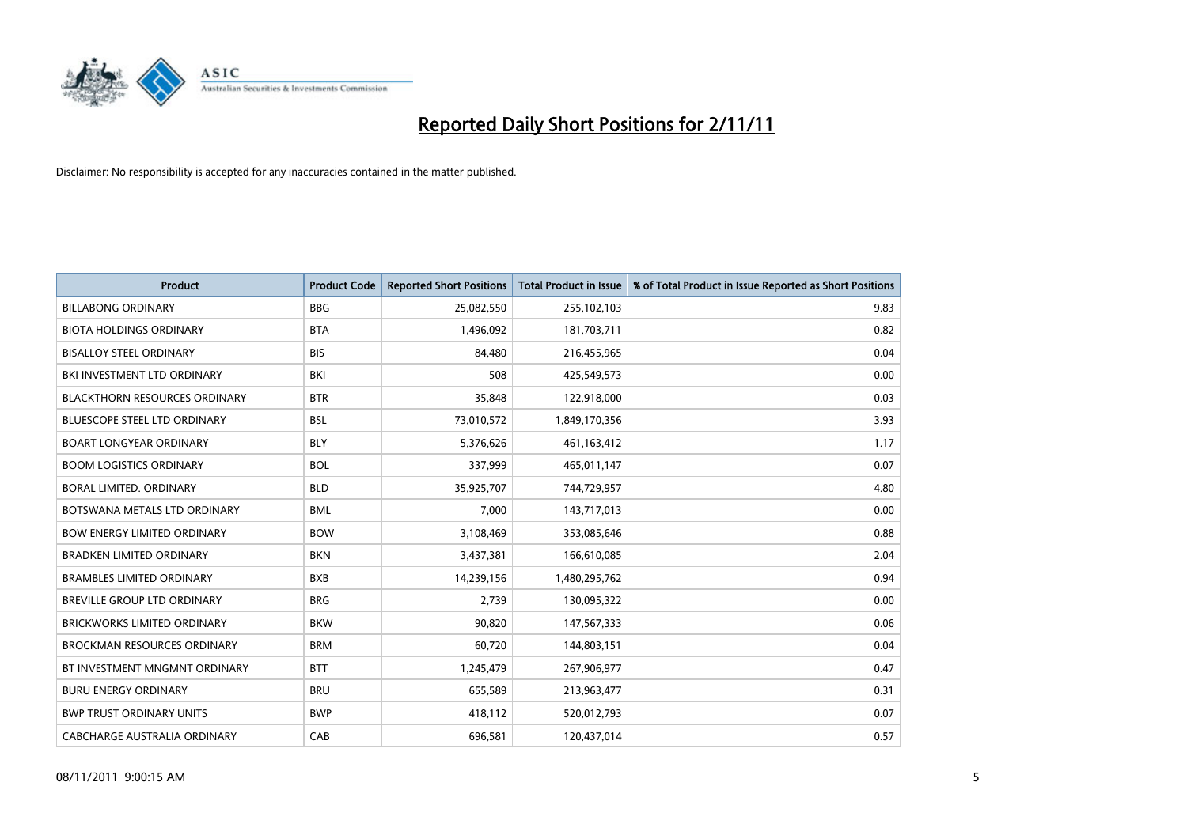

| <b>Product</b>                       | <b>Product Code</b> | <b>Reported Short Positions</b> | <b>Total Product in Issue</b> | % of Total Product in Issue Reported as Short Positions |
|--------------------------------------|---------------------|---------------------------------|-------------------------------|---------------------------------------------------------|
| <b>BILLABONG ORDINARY</b>            | <b>BBG</b>          | 25,082,550                      | 255,102,103                   | 9.83                                                    |
| <b>BIOTA HOLDINGS ORDINARY</b>       | <b>BTA</b>          | 1,496,092                       | 181,703,711                   | 0.82                                                    |
| <b>BISALLOY STEEL ORDINARY</b>       | <b>BIS</b>          | 84.480                          | 216,455,965                   | 0.04                                                    |
| BKI INVESTMENT LTD ORDINARY          | BKI                 | 508                             | 425,549,573                   | 0.00                                                    |
| <b>BLACKTHORN RESOURCES ORDINARY</b> | <b>BTR</b>          | 35,848                          | 122,918,000                   | 0.03                                                    |
| <b>BLUESCOPE STEEL LTD ORDINARY</b>  | <b>BSL</b>          | 73,010,572                      | 1,849,170,356                 | 3.93                                                    |
| <b>BOART LONGYEAR ORDINARY</b>       | <b>BLY</b>          | 5,376,626                       | 461,163,412                   | 1.17                                                    |
| <b>BOOM LOGISTICS ORDINARY</b>       | <b>BOL</b>          | 337,999                         | 465,011,147                   | 0.07                                                    |
| BORAL LIMITED. ORDINARY              | <b>BLD</b>          | 35,925,707                      | 744,729,957                   | 4.80                                                    |
| BOTSWANA METALS LTD ORDINARY         | <b>BML</b>          | 7.000                           | 143,717,013                   | 0.00                                                    |
| <b>BOW ENERGY LIMITED ORDINARY</b>   | <b>BOW</b>          | 3,108,469                       | 353,085,646                   | 0.88                                                    |
| <b>BRADKEN LIMITED ORDINARY</b>      | <b>BKN</b>          | 3,437,381                       | 166,610,085                   | 2.04                                                    |
| <b>BRAMBLES LIMITED ORDINARY</b>     | <b>BXB</b>          | 14,239,156                      | 1,480,295,762                 | 0.94                                                    |
| <b>BREVILLE GROUP LTD ORDINARY</b>   | <b>BRG</b>          | 2,739                           | 130,095,322                   | 0.00                                                    |
| <b>BRICKWORKS LIMITED ORDINARY</b>   | <b>BKW</b>          | 90,820                          | 147,567,333                   | 0.06                                                    |
| <b>BROCKMAN RESOURCES ORDINARY</b>   | <b>BRM</b>          | 60,720                          | 144,803,151                   | 0.04                                                    |
| BT INVESTMENT MNGMNT ORDINARY        | <b>BTT</b>          | 1,245,479                       | 267,906,977                   | 0.47                                                    |
| <b>BURU ENERGY ORDINARY</b>          | <b>BRU</b>          | 655,589                         | 213,963,477                   | 0.31                                                    |
| <b>BWP TRUST ORDINARY UNITS</b>      | <b>BWP</b>          | 418,112                         | 520,012,793                   | 0.07                                                    |
| CABCHARGE AUSTRALIA ORDINARY         | CAB                 | 696.581                         | 120.437.014                   | 0.57                                                    |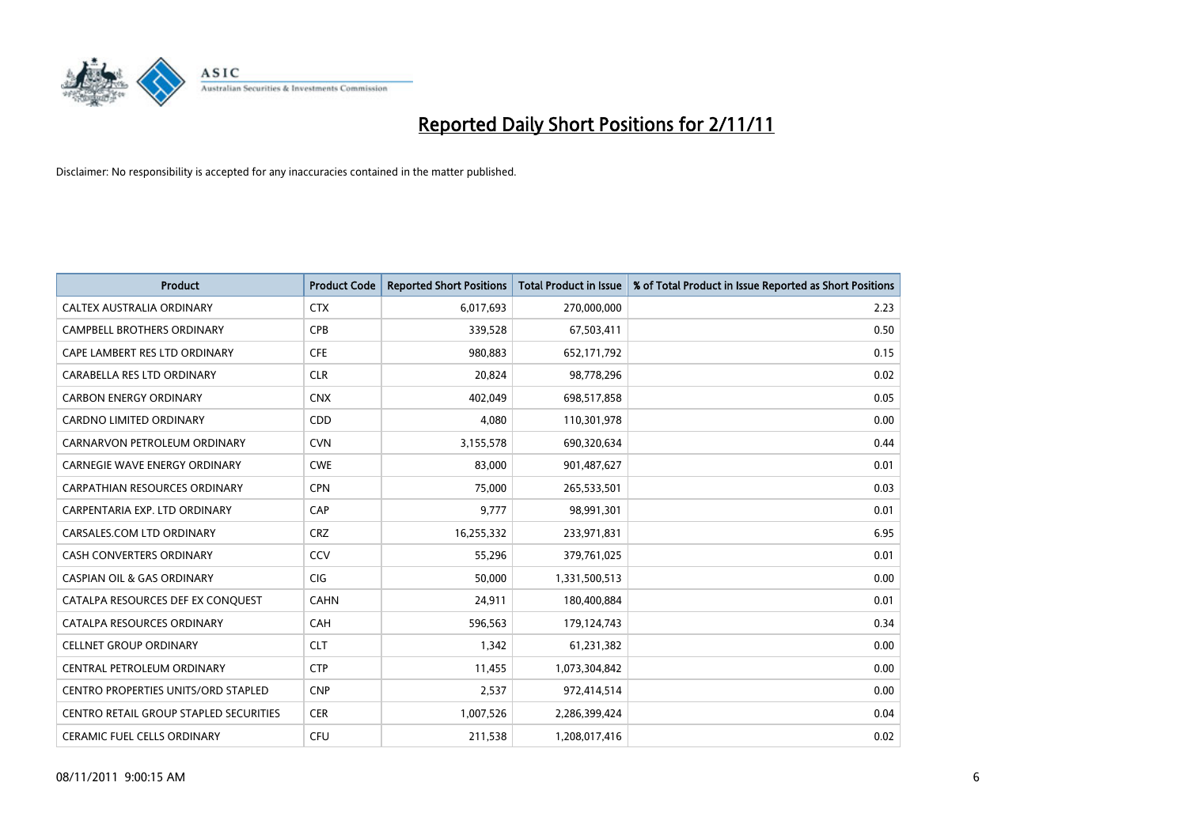

| <b>Product</b>                             | <b>Product Code</b> | <b>Reported Short Positions</b> | <b>Total Product in Issue</b> | % of Total Product in Issue Reported as Short Positions |
|--------------------------------------------|---------------------|---------------------------------|-------------------------------|---------------------------------------------------------|
| CALTEX AUSTRALIA ORDINARY                  | <b>CTX</b>          | 6,017,693                       | 270,000,000                   | 2.23                                                    |
| <b>CAMPBELL BROTHERS ORDINARY</b>          | <b>CPB</b>          | 339,528                         | 67,503,411                    | 0.50                                                    |
| CAPE LAMBERT RES LTD ORDINARY              | <b>CFE</b>          | 980,883                         | 652,171,792                   | 0.15                                                    |
| CARABELLA RES LTD ORDINARY                 | <b>CLR</b>          | 20,824                          | 98,778,296                    | 0.02                                                    |
| <b>CARBON ENERGY ORDINARY</b>              | <b>CNX</b>          | 402.049                         | 698,517,858                   | 0.05                                                    |
| <b>CARDNO LIMITED ORDINARY</b>             | CDD                 | 4,080                           | 110,301,978                   | 0.00                                                    |
| CARNARVON PETROLEUM ORDINARY               | <b>CVN</b>          | 3,155,578                       | 690,320,634                   | 0.44                                                    |
| <b>CARNEGIE WAVE ENERGY ORDINARY</b>       | <b>CWE</b>          | 83,000                          | 901,487,627                   | 0.01                                                    |
| CARPATHIAN RESOURCES ORDINARY              | <b>CPN</b>          | 75,000                          | 265,533,501                   | 0.03                                                    |
| CARPENTARIA EXP. LTD ORDINARY              | CAP                 | 9,777                           | 98,991,301                    | 0.01                                                    |
| CARSALES.COM LTD ORDINARY                  | <b>CRZ</b>          | 16,255,332                      | 233,971,831                   | 6.95                                                    |
| <b>CASH CONVERTERS ORDINARY</b>            | CCV                 | 55,296                          | 379,761,025                   | 0.01                                                    |
| <b>CASPIAN OIL &amp; GAS ORDINARY</b>      | <b>CIG</b>          | 50,000                          | 1,331,500,513                 | 0.00                                                    |
| CATALPA RESOURCES DEF EX CONQUEST          | <b>CAHN</b>         | 24,911                          | 180,400,884                   | 0.01                                                    |
| CATALPA RESOURCES ORDINARY                 | <b>CAH</b>          | 596,563                         | 179,124,743                   | 0.34                                                    |
| <b>CELLNET GROUP ORDINARY</b>              | <b>CLT</b>          | 1,342                           | 61,231,382                    | 0.00                                                    |
| CENTRAL PETROLEUM ORDINARY                 | <b>CTP</b>          | 11,455                          | 1,073,304,842                 | 0.00                                                    |
| <b>CENTRO PROPERTIES UNITS/ORD STAPLED</b> | <b>CNP</b>          | 2,537                           | 972,414,514                   | 0.00                                                    |
| CENTRO RETAIL GROUP STAPLED SECURITIES     | <b>CER</b>          | 1,007,526                       | 2,286,399,424                 | 0.04                                                    |
| <b>CERAMIC FUEL CELLS ORDINARY</b>         | <b>CFU</b>          | 211,538                         | 1,208,017,416                 | 0.02                                                    |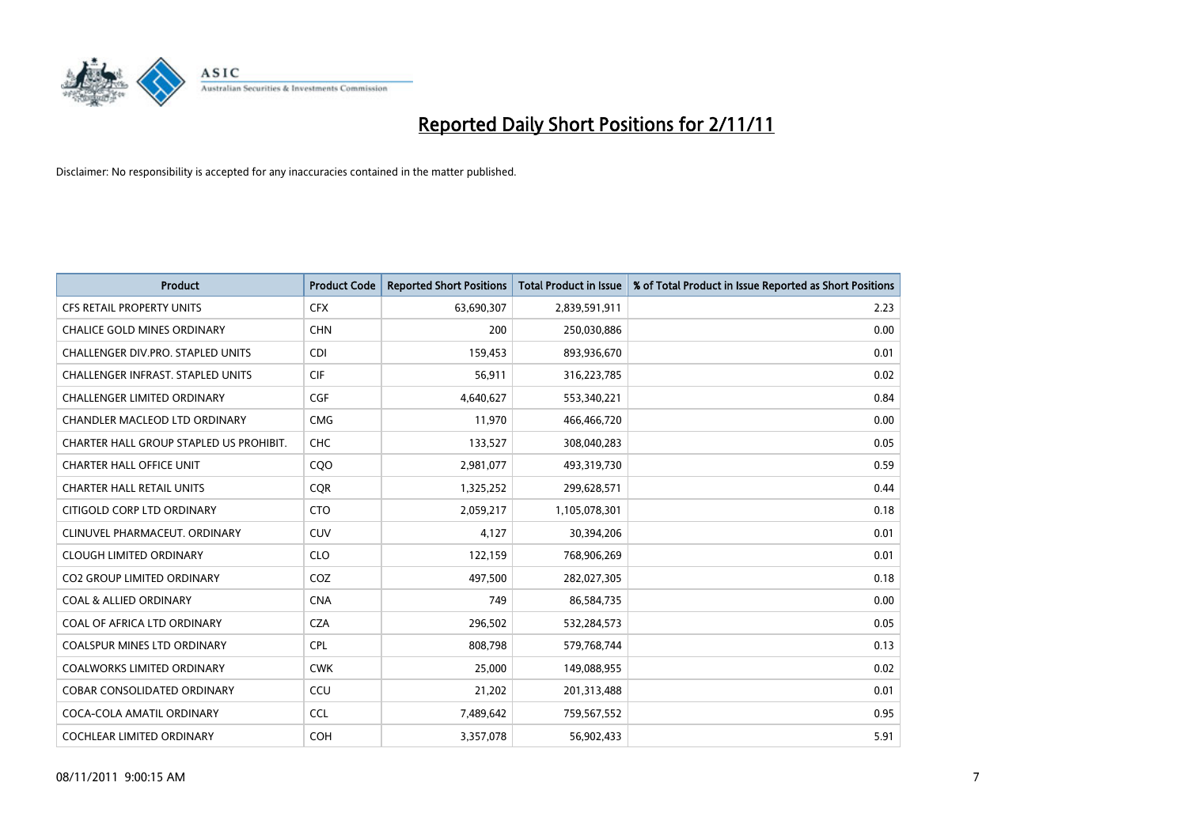

| <b>Product</b>                          | <b>Product Code</b> | <b>Reported Short Positions</b> | <b>Total Product in Issue</b> | % of Total Product in Issue Reported as Short Positions |
|-----------------------------------------|---------------------|---------------------------------|-------------------------------|---------------------------------------------------------|
| <b>CFS RETAIL PROPERTY UNITS</b>        | <b>CFX</b>          | 63,690,307                      | 2,839,591,911                 | 2.23                                                    |
| <b>CHALICE GOLD MINES ORDINARY</b>      | <b>CHN</b>          | 200                             | 250,030,886                   | 0.00                                                    |
| CHALLENGER DIV.PRO. STAPLED UNITS       | CDI                 | 159,453                         | 893,936,670                   | 0.01                                                    |
| CHALLENGER INFRAST. STAPLED UNITS       | <b>CIF</b>          | 56,911                          | 316,223,785                   | 0.02                                                    |
| <b>CHALLENGER LIMITED ORDINARY</b>      | <b>CGF</b>          | 4,640,627                       | 553,340,221                   | 0.84                                                    |
| CHANDLER MACLEOD LTD ORDINARY           | <b>CMG</b>          | 11,970                          | 466,466,720                   | 0.00                                                    |
| CHARTER HALL GROUP STAPLED US PROHIBIT. | <b>CHC</b>          | 133,527                         | 308,040,283                   | 0.05                                                    |
| <b>CHARTER HALL OFFICE UNIT</b>         | CQ <sub>O</sub>     | 2,981,077                       | 493,319,730                   | 0.59                                                    |
| <b>CHARTER HALL RETAIL UNITS</b>        | <b>CQR</b>          | 1,325,252                       | 299,628,571                   | 0.44                                                    |
| CITIGOLD CORP LTD ORDINARY              | <b>CTO</b>          | 2,059,217                       | 1,105,078,301                 | 0.18                                                    |
| CLINUVEL PHARMACEUT. ORDINARY           | CUV                 | 4,127                           | 30,394,206                    | 0.01                                                    |
| <b>CLOUGH LIMITED ORDINARY</b>          | <b>CLO</b>          | 122,159                         | 768,906,269                   | 0.01                                                    |
| <b>CO2 GROUP LIMITED ORDINARY</b>       | COZ                 | 497,500                         | 282,027,305                   | 0.18                                                    |
| <b>COAL &amp; ALLIED ORDINARY</b>       | <b>CNA</b>          | 749                             | 86,584,735                    | 0.00                                                    |
| COAL OF AFRICA LTD ORDINARY             | <b>CZA</b>          | 296,502                         | 532,284,573                   | 0.05                                                    |
| <b>COALSPUR MINES LTD ORDINARY</b>      | <b>CPL</b>          | 808,798                         | 579,768,744                   | 0.13                                                    |
| <b>COALWORKS LIMITED ORDINARY</b>       | <b>CWK</b>          | 25,000                          | 149,088,955                   | 0.02                                                    |
| COBAR CONSOLIDATED ORDINARY             | CCU                 | 21,202                          | 201,313,488                   | 0.01                                                    |
| COCA-COLA AMATIL ORDINARY               | <b>CCL</b>          | 7,489,642                       | 759,567,552                   | 0.95                                                    |
| <b>COCHLEAR LIMITED ORDINARY</b>        | <b>COH</b>          | 3,357,078                       | 56,902,433                    | 5.91                                                    |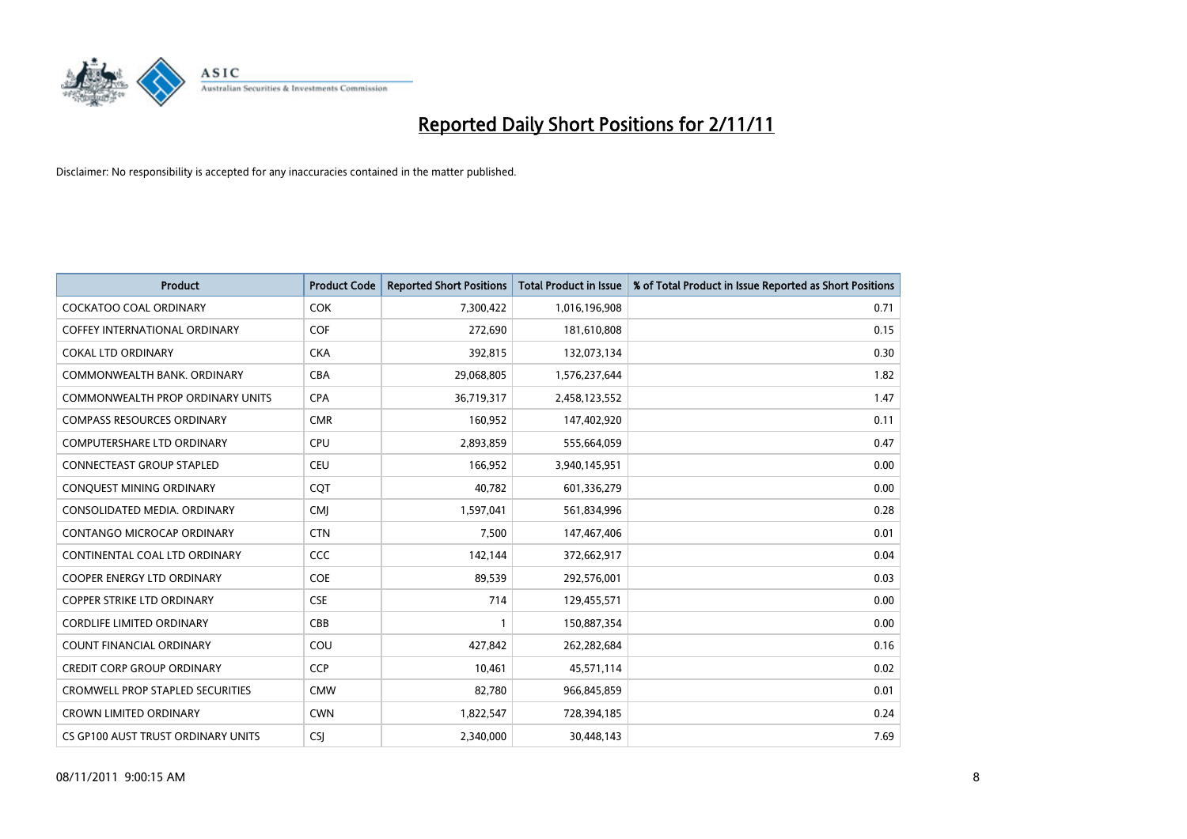

| <b>Product</b>                          | <b>Product Code</b> | <b>Reported Short Positions</b> | <b>Total Product in Issue</b> | % of Total Product in Issue Reported as Short Positions |
|-----------------------------------------|---------------------|---------------------------------|-------------------------------|---------------------------------------------------------|
| <b>COCKATOO COAL ORDINARY</b>           | <b>COK</b>          | 7,300,422                       | 1,016,196,908                 | 0.71                                                    |
| COFFEY INTERNATIONAL ORDINARY           | <b>COF</b>          | 272,690                         | 181,610,808                   | 0.15                                                    |
| <b>COKAL LTD ORDINARY</b>               | <b>CKA</b>          | 392,815                         | 132,073,134                   | 0.30                                                    |
| COMMONWEALTH BANK, ORDINARY             | CBA                 | 29,068,805                      | 1,576,237,644                 | 1.82                                                    |
| <b>COMMONWEALTH PROP ORDINARY UNITS</b> | <b>CPA</b>          | 36,719,317                      | 2,458,123,552                 | 1.47                                                    |
| <b>COMPASS RESOURCES ORDINARY</b>       | <b>CMR</b>          | 160,952                         | 147,402,920                   | 0.11                                                    |
| <b>COMPUTERSHARE LTD ORDINARY</b>       | <b>CPU</b>          | 2,893,859                       | 555,664,059                   | 0.47                                                    |
| <b>CONNECTEAST GROUP STAPLED</b>        | <b>CEU</b>          | 166,952                         | 3,940,145,951                 | 0.00                                                    |
| CONQUEST MINING ORDINARY                | COT                 | 40,782                          | 601,336,279                   | 0.00                                                    |
| CONSOLIDATED MEDIA, ORDINARY            | <b>CMI</b>          | 1,597,041                       | 561,834,996                   | 0.28                                                    |
| CONTANGO MICROCAP ORDINARY              | <b>CTN</b>          | 7,500                           | 147,467,406                   | 0.01                                                    |
| CONTINENTAL COAL LTD ORDINARY           | CCC                 | 142,144                         | 372,662,917                   | 0.04                                                    |
| <b>COOPER ENERGY LTD ORDINARY</b>       | COE                 | 89,539                          | 292,576,001                   | 0.03                                                    |
| <b>COPPER STRIKE LTD ORDINARY</b>       | <b>CSE</b>          | 714                             | 129,455,571                   | 0.00                                                    |
| <b>CORDLIFE LIMITED ORDINARY</b>        | CBB                 |                                 | 150,887,354                   | 0.00                                                    |
| COUNT FINANCIAL ORDINARY                | COU                 | 427,842                         | 262,282,684                   | 0.16                                                    |
| <b>CREDIT CORP GROUP ORDINARY</b>       | <b>CCP</b>          | 10,461                          | 45,571,114                    | 0.02                                                    |
| <b>CROMWELL PROP STAPLED SECURITIES</b> | <b>CMW</b>          | 82,780                          | 966,845,859                   | 0.01                                                    |
| <b>CROWN LIMITED ORDINARY</b>           | <b>CWN</b>          | 1,822,547                       | 728,394,185                   | 0.24                                                    |
| CS GP100 AUST TRUST ORDINARY UNITS      | <b>CSI</b>          | 2.340.000                       | 30,448,143                    | 7.69                                                    |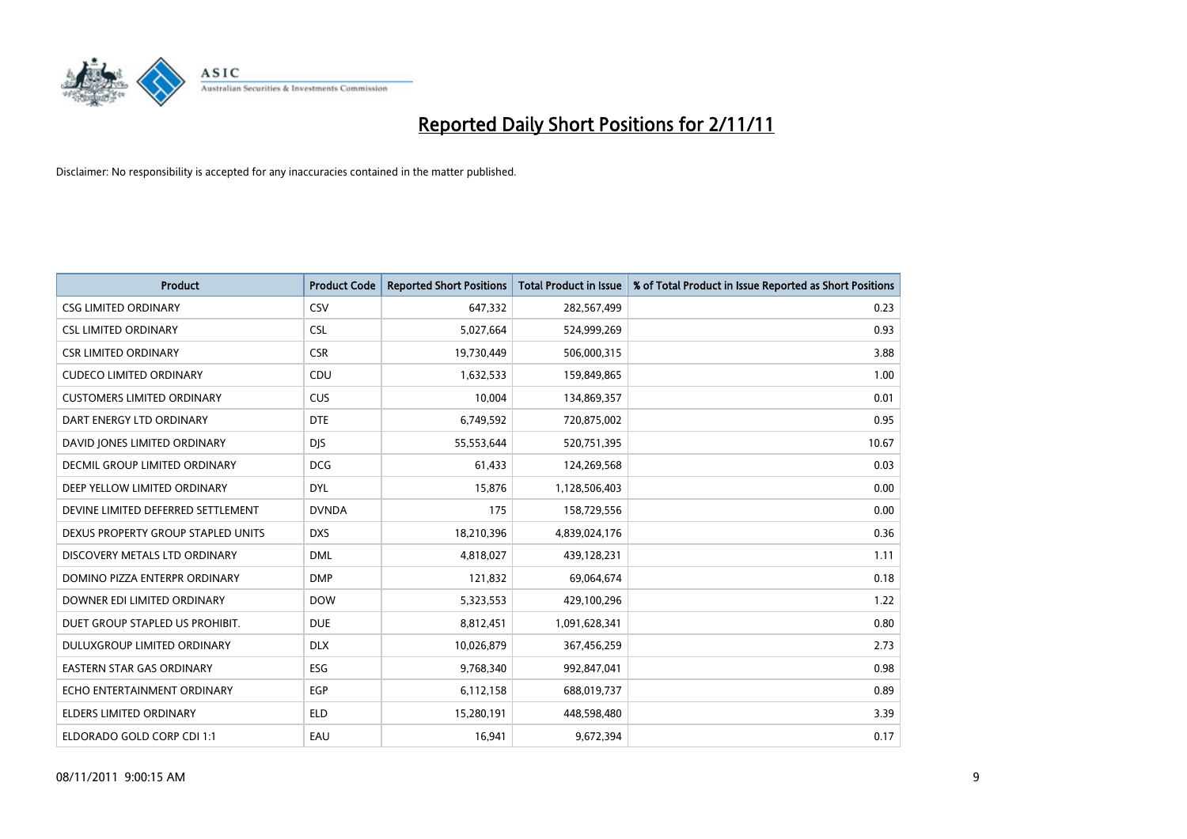

| <b>Product</b>                       | <b>Product Code</b> | <b>Reported Short Positions</b> | <b>Total Product in Issue</b> | % of Total Product in Issue Reported as Short Positions |
|--------------------------------------|---------------------|---------------------------------|-------------------------------|---------------------------------------------------------|
| <b>CSG LIMITED ORDINARY</b>          | CSV                 | 647,332                         | 282,567,499                   | 0.23                                                    |
| <b>CSL LIMITED ORDINARY</b>          | <b>CSL</b>          | 5,027,664                       | 524,999,269                   | 0.93                                                    |
| <b>CSR LIMITED ORDINARY</b>          | <b>CSR</b>          | 19,730,449                      | 506,000,315                   | 3.88                                                    |
| <b>CUDECO LIMITED ORDINARY</b>       | CDU                 | 1,632,533                       | 159,849,865                   | 1.00                                                    |
| <b>CUSTOMERS LIMITED ORDINARY</b>    | <b>CUS</b>          | 10,004                          | 134,869,357                   | 0.01                                                    |
| DART ENERGY LTD ORDINARY             | <b>DTE</b>          | 6,749,592                       | 720,875,002                   | 0.95                                                    |
| DAVID JONES LIMITED ORDINARY         | <b>DJS</b>          | 55,553,644                      | 520,751,395                   | 10.67                                                   |
| <b>DECMIL GROUP LIMITED ORDINARY</b> | <b>DCG</b>          | 61,433                          | 124,269,568                   | 0.03                                                    |
| DEEP YELLOW LIMITED ORDINARY         | <b>DYL</b>          | 15,876                          | 1,128,506,403                 | 0.00                                                    |
| DEVINE LIMITED DEFERRED SETTLEMENT   | <b>DVNDA</b>        | 175                             | 158,729,556                   | 0.00                                                    |
| DEXUS PROPERTY GROUP STAPLED UNITS   | <b>DXS</b>          | 18,210,396                      | 4,839,024,176                 | 0.36                                                    |
| DISCOVERY METALS LTD ORDINARY        | <b>DML</b>          | 4,818,027                       | 439,128,231                   | 1.11                                                    |
| DOMINO PIZZA ENTERPR ORDINARY        | <b>DMP</b>          | 121,832                         | 69,064,674                    | 0.18                                                    |
| DOWNER EDI LIMITED ORDINARY          | <b>DOW</b>          | 5,323,553                       | 429,100,296                   | 1.22                                                    |
| DUET GROUP STAPLED US PROHIBIT.      | <b>DUE</b>          | 8,812,451                       | 1,091,628,341                 | 0.80                                                    |
| DULUXGROUP LIMITED ORDINARY          | <b>DLX</b>          | 10,026,879                      | 367,456,259                   | 2.73                                                    |
| <b>EASTERN STAR GAS ORDINARY</b>     | ESG                 | 9,768,340                       | 992,847,041                   | 0.98                                                    |
| ECHO ENTERTAINMENT ORDINARY          | <b>EGP</b>          | 6,112,158                       | 688,019,737                   | 0.89                                                    |
| <b>ELDERS LIMITED ORDINARY</b>       | <b>ELD</b>          | 15,280,191                      | 448,598,480                   | 3.39                                                    |
| ELDORADO GOLD CORP CDI 1:1           | EAU                 | 16,941                          | 9,672,394                     | 0.17                                                    |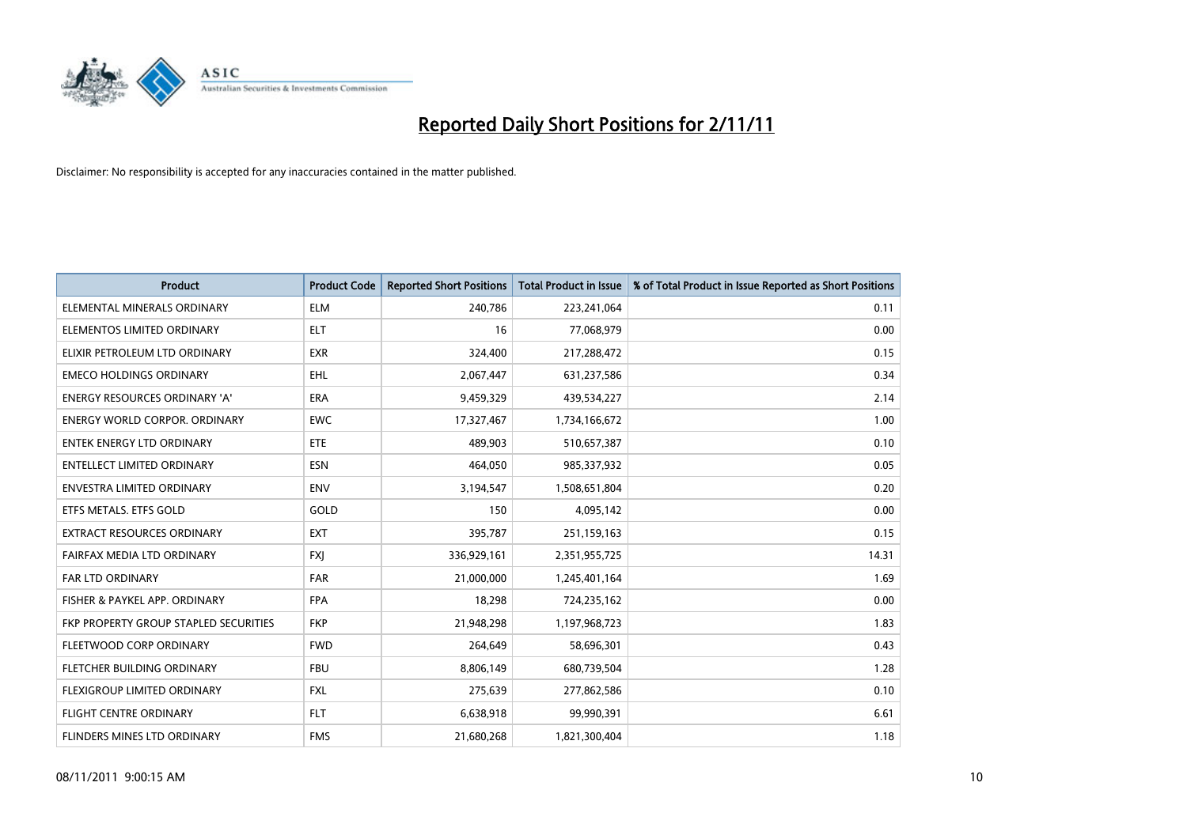

| <b>Product</b>                               | <b>Product Code</b> | <b>Reported Short Positions</b> | <b>Total Product in Issue</b> | % of Total Product in Issue Reported as Short Positions |
|----------------------------------------------|---------------------|---------------------------------|-------------------------------|---------------------------------------------------------|
| ELEMENTAL MINERALS ORDINARY                  | <b>ELM</b>          | 240,786                         | 223,241,064                   | 0.11                                                    |
| ELEMENTOS LIMITED ORDINARY                   | <b>ELT</b>          | 16                              | 77,068,979                    | 0.00                                                    |
| ELIXIR PETROLEUM LTD ORDINARY                | <b>EXR</b>          | 324,400                         | 217,288,472                   | 0.15                                                    |
| <b>EMECO HOLDINGS ORDINARY</b>               | <b>EHL</b>          | 2,067,447                       | 631,237,586                   | 0.34                                                    |
| <b>ENERGY RESOURCES ORDINARY 'A'</b>         | <b>ERA</b>          | 9,459,329                       | 439,534,227                   | 2.14                                                    |
| <b>ENERGY WORLD CORPOR, ORDINARY</b>         | <b>EWC</b>          | 17,327,467                      | 1,734,166,672                 | 1.00                                                    |
| <b>ENTEK ENERGY LTD ORDINARY</b>             | <b>ETE</b>          | 489.903                         | 510,657,387                   | 0.10                                                    |
| <b>ENTELLECT LIMITED ORDINARY</b>            | <b>ESN</b>          | 464,050                         | 985,337,932                   | 0.05                                                    |
| ENVESTRA LIMITED ORDINARY                    | <b>ENV</b>          | 3,194,547                       | 1,508,651,804                 | 0.20                                                    |
| ETFS METALS. ETFS GOLD                       | GOLD                | 150                             | 4,095,142                     | 0.00                                                    |
| <b>EXTRACT RESOURCES ORDINARY</b>            | <b>EXT</b>          | 395,787                         | 251,159,163                   | 0.15                                                    |
| FAIRFAX MEDIA LTD ORDINARY                   | <b>FXI</b>          | 336,929,161                     | 2,351,955,725                 | 14.31                                                   |
| <b>FAR LTD ORDINARY</b>                      | <b>FAR</b>          | 21,000,000                      | 1,245,401,164                 | 1.69                                                    |
| FISHER & PAYKEL APP. ORDINARY                | <b>FPA</b>          | 18,298                          | 724,235,162                   | 0.00                                                    |
| <b>FKP PROPERTY GROUP STAPLED SECURITIES</b> | <b>FKP</b>          | 21,948,298                      | 1,197,968,723                 | 1.83                                                    |
| FLEETWOOD CORP ORDINARY                      | <b>FWD</b>          | 264,649                         | 58,696,301                    | 0.43                                                    |
| FLETCHER BUILDING ORDINARY                   | <b>FBU</b>          | 8,806,149                       | 680,739,504                   | 1.28                                                    |
| FLEXIGROUP LIMITED ORDINARY                  | <b>FXL</b>          | 275,639                         | 277,862,586                   | 0.10                                                    |
| <b>FLIGHT CENTRE ORDINARY</b>                | <b>FLT</b>          | 6,638,918                       | 99,990,391                    | 6.61                                                    |
| FLINDERS MINES LTD ORDINARY                  | <b>FMS</b>          | 21,680,268                      | 1,821,300,404                 | 1.18                                                    |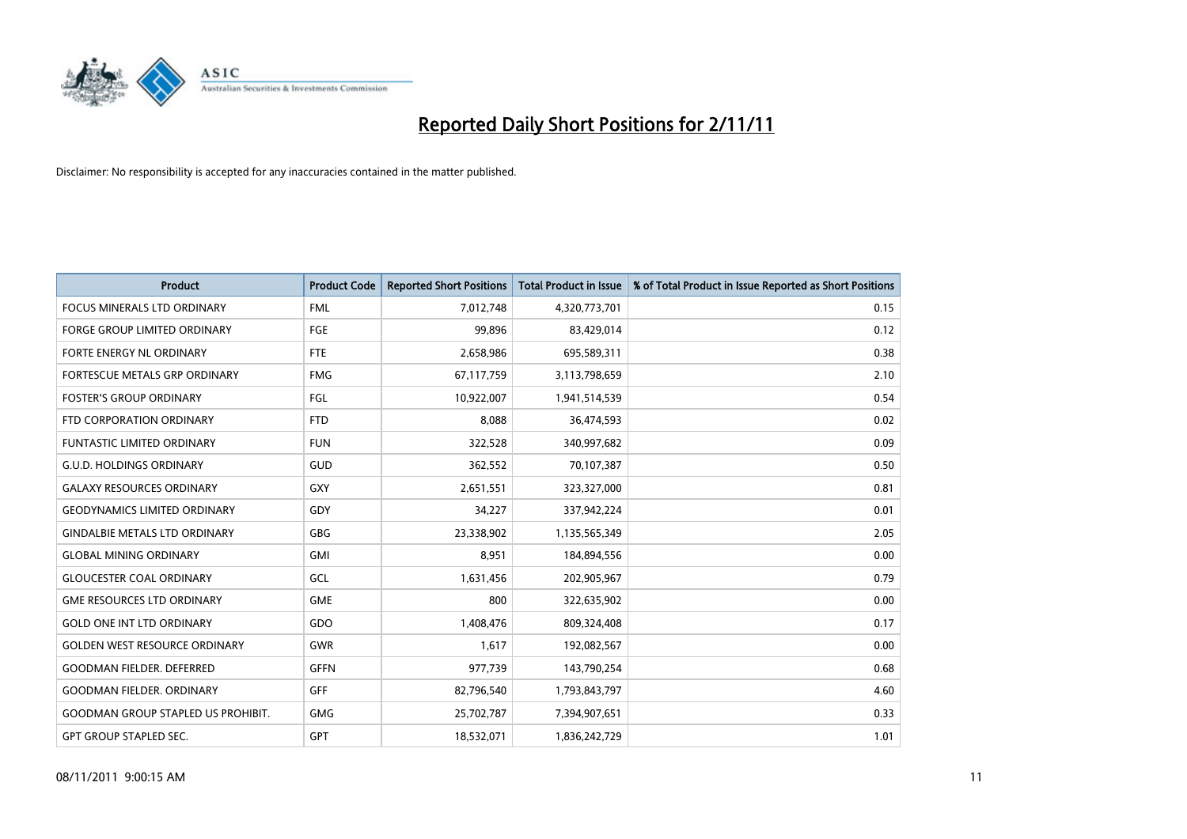

| <b>Product</b>                            | <b>Product Code</b> | <b>Reported Short Positions</b> | <b>Total Product in Issue</b> | % of Total Product in Issue Reported as Short Positions |
|-------------------------------------------|---------------------|---------------------------------|-------------------------------|---------------------------------------------------------|
| <b>FOCUS MINERALS LTD ORDINARY</b>        | <b>FML</b>          | 7,012,748                       | 4,320,773,701                 | 0.15                                                    |
| <b>FORGE GROUP LIMITED ORDINARY</b>       | FGE                 | 99.896                          | 83,429,014                    | 0.12                                                    |
| <b>FORTE ENERGY NL ORDINARY</b>           | <b>FTE</b>          | 2,658,986                       | 695,589,311                   | 0.38                                                    |
| FORTESCUE METALS GRP ORDINARY             | <b>FMG</b>          | 67,117,759                      | 3,113,798,659                 | 2.10                                                    |
| <b>FOSTER'S GROUP ORDINARY</b>            | FGL                 | 10,922,007                      | 1,941,514,539                 | 0.54                                                    |
| FTD CORPORATION ORDINARY                  | <b>FTD</b>          | 8,088                           | 36,474,593                    | 0.02                                                    |
| <b>FUNTASTIC LIMITED ORDINARY</b>         | <b>FUN</b>          | 322,528                         | 340,997,682                   | 0.09                                                    |
| <b>G.U.D. HOLDINGS ORDINARY</b>           | GUD                 | 362,552                         | 70,107,387                    | 0.50                                                    |
| <b>GALAXY RESOURCES ORDINARY</b>          | <b>GXY</b>          | 2,651,551                       | 323,327,000                   | 0.81                                                    |
| <b>GEODYNAMICS LIMITED ORDINARY</b>       | GDY                 | 34,227                          | 337,942,224                   | 0.01                                                    |
| <b>GINDALBIE METALS LTD ORDINARY</b>      | GBG                 | 23,338,902                      | 1,135,565,349                 | 2.05                                                    |
| <b>GLOBAL MINING ORDINARY</b>             | GMI                 | 8,951                           | 184,894,556                   | 0.00                                                    |
| <b>GLOUCESTER COAL ORDINARY</b>           | GCL                 | 1,631,456                       | 202,905,967                   | 0.79                                                    |
| <b>GME RESOURCES LTD ORDINARY</b>         | <b>GME</b>          | 800                             | 322,635,902                   | 0.00                                                    |
| <b>GOLD ONE INT LTD ORDINARY</b>          | GDO                 | 1,408,476                       | 809,324,408                   | 0.17                                                    |
| <b>GOLDEN WEST RESOURCE ORDINARY</b>      | <b>GWR</b>          | 1.617                           | 192,082,567                   | 0.00                                                    |
| <b>GOODMAN FIELDER, DEFERRED</b>          | <b>GFFN</b>         | 977,739                         | 143,790,254                   | 0.68                                                    |
| <b>GOODMAN FIELDER, ORDINARY</b>          | <b>GFF</b>          | 82,796,540                      | 1,793,843,797                 | 4.60                                                    |
| <b>GOODMAN GROUP STAPLED US PROHIBIT.</b> | <b>GMG</b>          | 25,702,787                      | 7,394,907,651                 | 0.33                                                    |
| <b>GPT GROUP STAPLED SEC.</b>             | GPT                 | 18,532,071                      | 1,836,242,729                 | 1.01                                                    |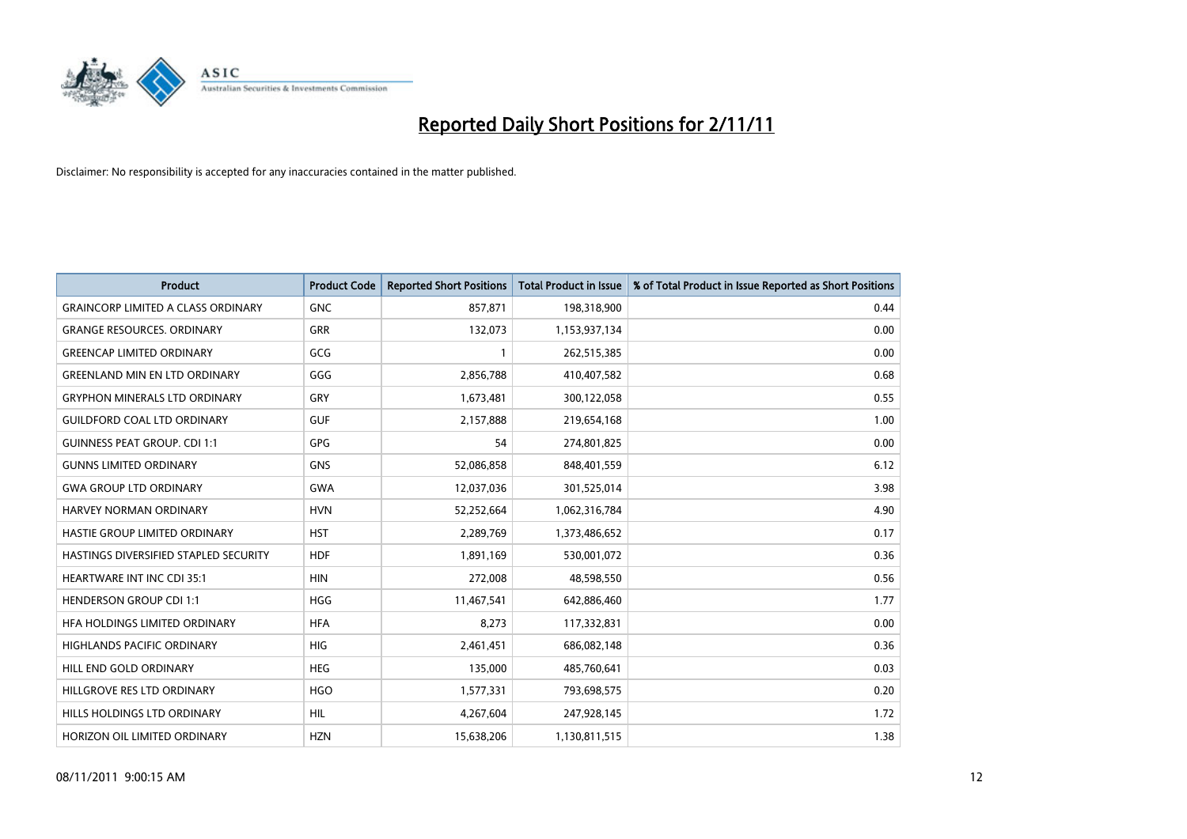

| <b>Product</b>                            | <b>Product Code</b> | <b>Reported Short Positions</b> | <b>Total Product in Issue</b> | % of Total Product in Issue Reported as Short Positions |
|-------------------------------------------|---------------------|---------------------------------|-------------------------------|---------------------------------------------------------|
| <b>GRAINCORP LIMITED A CLASS ORDINARY</b> | <b>GNC</b>          | 857,871                         | 198,318,900                   | 0.44                                                    |
| <b>GRANGE RESOURCES, ORDINARY</b>         | <b>GRR</b>          | 132,073                         | 1,153,937,134                 | 0.00                                                    |
| <b>GREENCAP LIMITED ORDINARY</b>          | GCG                 |                                 | 262,515,385                   | 0.00                                                    |
| <b>GREENLAND MIN EN LTD ORDINARY</b>      | GGG                 | 2,856,788                       | 410,407,582                   | 0.68                                                    |
| <b>GRYPHON MINERALS LTD ORDINARY</b>      | GRY                 | 1,673,481                       | 300,122,058                   | 0.55                                                    |
| <b>GUILDFORD COAL LTD ORDINARY</b>        | <b>GUF</b>          | 2,157,888                       | 219,654,168                   | 1.00                                                    |
| <b>GUINNESS PEAT GROUP. CDI 1:1</b>       | GPG                 | 54                              | 274,801,825                   | 0.00                                                    |
| <b>GUNNS LIMITED ORDINARY</b>             | <b>GNS</b>          | 52,086,858                      | 848,401,559                   | 6.12                                                    |
| <b>GWA GROUP LTD ORDINARY</b>             | <b>GWA</b>          | 12,037,036                      | 301,525,014                   | 3.98                                                    |
| HARVEY NORMAN ORDINARY                    | <b>HVN</b>          | 52,252,664                      | 1,062,316,784                 | 4.90                                                    |
| HASTIE GROUP LIMITED ORDINARY             | <b>HST</b>          | 2,289,769                       | 1,373,486,652                 | 0.17                                                    |
| HASTINGS DIVERSIFIED STAPLED SECURITY     | <b>HDF</b>          | 1,891,169                       | 530,001,072                   | 0.36                                                    |
| <b>HEARTWARE INT INC CDI 35:1</b>         | <b>HIN</b>          | 272,008                         | 48,598,550                    | 0.56                                                    |
| <b>HENDERSON GROUP CDI 1:1</b>            | <b>HGG</b>          | 11,467,541                      | 642,886,460                   | 1.77                                                    |
| HEA HOLDINGS LIMITED ORDINARY             | <b>HFA</b>          | 8,273                           | 117,332,831                   | 0.00                                                    |
| <b>HIGHLANDS PACIFIC ORDINARY</b>         | <b>HIG</b>          | 2,461,451                       | 686,082,148                   | 0.36                                                    |
| HILL END GOLD ORDINARY                    | <b>HEG</b>          | 135,000                         | 485,760,641                   | 0.03                                                    |
| HILLGROVE RES LTD ORDINARY                | <b>HGO</b>          | 1,577,331                       | 793,698,575                   | 0.20                                                    |
| HILLS HOLDINGS LTD ORDINARY               | <b>HIL</b>          | 4,267,604                       | 247,928,145                   | 1.72                                                    |
| HORIZON OIL LIMITED ORDINARY              | <b>HZN</b>          | 15,638,206                      | 1,130,811,515                 | 1.38                                                    |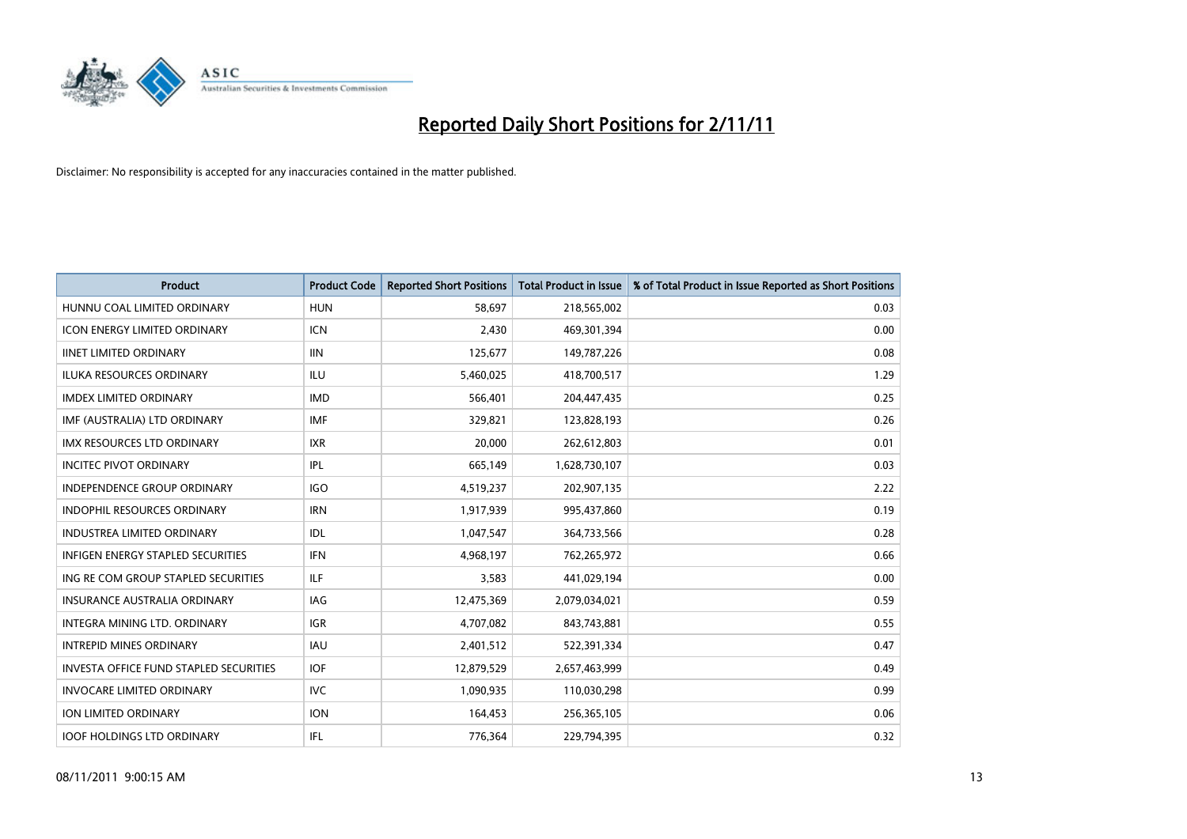

| <b>Product</b>                                | <b>Product Code</b> | <b>Reported Short Positions</b> | <b>Total Product in Issue</b> | % of Total Product in Issue Reported as Short Positions |
|-----------------------------------------------|---------------------|---------------------------------|-------------------------------|---------------------------------------------------------|
| HUNNU COAL LIMITED ORDINARY                   | <b>HUN</b>          | 58,697                          | 218,565,002                   | 0.03                                                    |
| ICON ENERGY LIMITED ORDINARY                  | <b>ICN</b>          | 2,430                           | 469,301,394                   | 0.00                                                    |
| <b>IINET LIMITED ORDINARY</b>                 | <b>IIN</b>          | 125,677                         | 149,787,226                   | 0.08                                                    |
| ILUKA RESOURCES ORDINARY                      | ILU                 | 5,460,025                       | 418,700,517                   | 1.29                                                    |
| <b>IMDEX LIMITED ORDINARY</b>                 | <b>IMD</b>          | 566,401                         | 204,447,435                   | 0.25                                                    |
| IMF (AUSTRALIA) LTD ORDINARY                  | <b>IMF</b>          | 329,821                         | 123,828,193                   | 0.26                                                    |
| <b>IMX RESOURCES LTD ORDINARY</b>             | <b>IXR</b>          | 20.000                          | 262,612,803                   | 0.01                                                    |
| <b>INCITEC PIVOT ORDINARY</b>                 | IPL                 | 665,149                         | 1,628,730,107                 | 0.03                                                    |
| INDEPENDENCE GROUP ORDINARY                   | <b>IGO</b>          | 4,519,237                       | 202,907,135                   | 2.22                                                    |
| <b>INDOPHIL RESOURCES ORDINARY</b>            | <b>IRN</b>          | 1,917,939                       | 995,437,860                   | 0.19                                                    |
| <b>INDUSTREA LIMITED ORDINARY</b>             | IDL                 | 1,047,547                       | 364,733,566                   | 0.28                                                    |
| <b>INFIGEN ENERGY STAPLED SECURITIES</b>      | <b>IFN</b>          | 4,968,197                       | 762,265,972                   | 0.66                                                    |
| ING RE COM GROUP STAPLED SECURITIES           | <b>ILF</b>          | 3,583                           | 441,029,194                   | 0.00                                                    |
| <b>INSURANCE AUSTRALIA ORDINARY</b>           | IAG                 | 12,475,369                      | 2,079,034,021                 | 0.59                                                    |
| <b>INTEGRA MINING LTD, ORDINARY</b>           | <b>IGR</b>          | 4,707,082                       | 843,743,881                   | 0.55                                                    |
| <b>INTREPID MINES ORDINARY</b>                | <b>IAU</b>          | 2,401,512                       | 522,391,334                   | 0.47                                                    |
| <b>INVESTA OFFICE FUND STAPLED SECURITIES</b> | <b>IOF</b>          | 12,879,529                      | 2,657,463,999                 | 0.49                                                    |
| <b>INVOCARE LIMITED ORDINARY</b>              | IVC                 | 1,090,935                       | 110,030,298                   | 0.99                                                    |
| <b>ION LIMITED ORDINARY</b>                   | <b>ION</b>          | 164,453                         | 256,365,105                   | 0.06                                                    |
| <b>IOOF HOLDINGS LTD ORDINARY</b>             | <b>IFL</b>          | 776,364                         | 229.794.395                   | 0.32                                                    |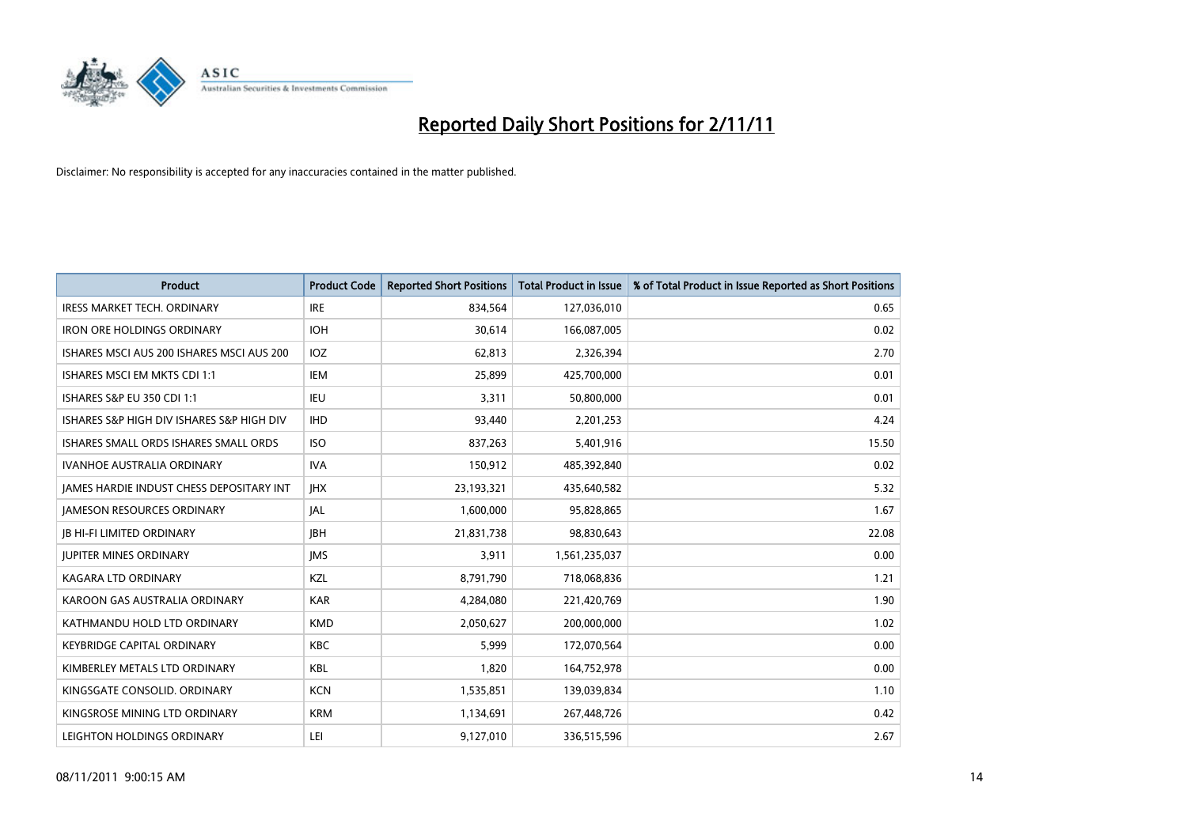

| <b>Product</b>                                  | <b>Product Code</b> | <b>Reported Short Positions</b> | <b>Total Product in Issue</b> | % of Total Product in Issue Reported as Short Positions |
|-------------------------------------------------|---------------------|---------------------------------|-------------------------------|---------------------------------------------------------|
| <b>IRESS MARKET TECH. ORDINARY</b>              | <b>IRE</b>          | 834,564                         | 127,036,010                   | 0.65                                                    |
| <b>IRON ORE HOLDINGS ORDINARY</b>               | <b>IOH</b>          | 30,614                          | 166,087,005                   | 0.02                                                    |
| ISHARES MSCI AUS 200 ISHARES MSCI AUS 200       | <b>IOZ</b>          | 62,813                          | 2,326,394                     | 2.70                                                    |
| ISHARES MSCI EM MKTS CDI 1:1                    | <b>IEM</b>          | 25,899                          | 425,700,000                   | 0.01                                                    |
| ISHARES S&P EU 350 CDI 1:1                      | <b>IEU</b>          | 3,311                           | 50,800,000                    | 0.01                                                    |
| ISHARES S&P HIGH DIV ISHARES S&P HIGH DIV       | <b>IHD</b>          | 93,440                          | 2,201,253                     | 4.24                                                    |
| ISHARES SMALL ORDS ISHARES SMALL ORDS           | <b>ISO</b>          | 837,263                         | 5,401,916                     | 15.50                                                   |
| <b>IVANHOE AUSTRALIA ORDINARY</b>               | <b>IVA</b>          | 150,912                         | 485,392,840                   | 0.02                                                    |
| <b>JAMES HARDIE INDUST CHESS DEPOSITARY INT</b> | <b>IHX</b>          | 23,193,321                      | 435,640,582                   | 5.32                                                    |
| <b>JAMESON RESOURCES ORDINARY</b>               | <b>JAL</b>          | 1,600,000                       | 95,828,865                    | 1.67                                                    |
| <b>JB HI-FI LIMITED ORDINARY</b>                | <b>IBH</b>          | 21,831,738                      | 98,830,643                    | 22.08                                                   |
| <b>JUPITER MINES ORDINARY</b>                   | <b>IMS</b>          | 3,911                           | 1,561,235,037                 | 0.00                                                    |
| KAGARA LTD ORDINARY                             | <b>KZL</b>          | 8,791,790                       | 718,068,836                   | 1.21                                                    |
| KAROON GAS AUSTRALIA ORDINARY                   | <b>KAR</b>          | 4,284,080                       | 221,420,769                   | 1.90                                                    |
| KATHMANDU HOLD LTD ORDINARY                     | <b>KMD</b>          | 2,050,627                       | 200,000,000                   | 1.02                                                    |
| <b>KEYBRIDGE CAPITAL ORDINARY</b>               | <b>KBC</b>          | 5,999                           | 172,070,564                   | 0.00                                                    |
| KIMBERLEY METALS LTD ORDINARY                   | <b>KBL</b>          | 1,820                           | 164,752,978                   | 0.00                                                    |
| KINGSGATE CONSOLID. ORDINARY                    | <b>KCN</b>          | 1,535,851                       | 139,039,834                   | 1.10                                                    |
| KINGSROSE MINING LTD ORDINARY                   | <b>KRM</b>          | 1,134,691                       | 267,448,726                   | 0.42                                                    |
| LEIGHTON HOLDINGS ORDINARY                      | LEI                 | 9,127,010                       | 336,515,596                   | 2.67                                                    |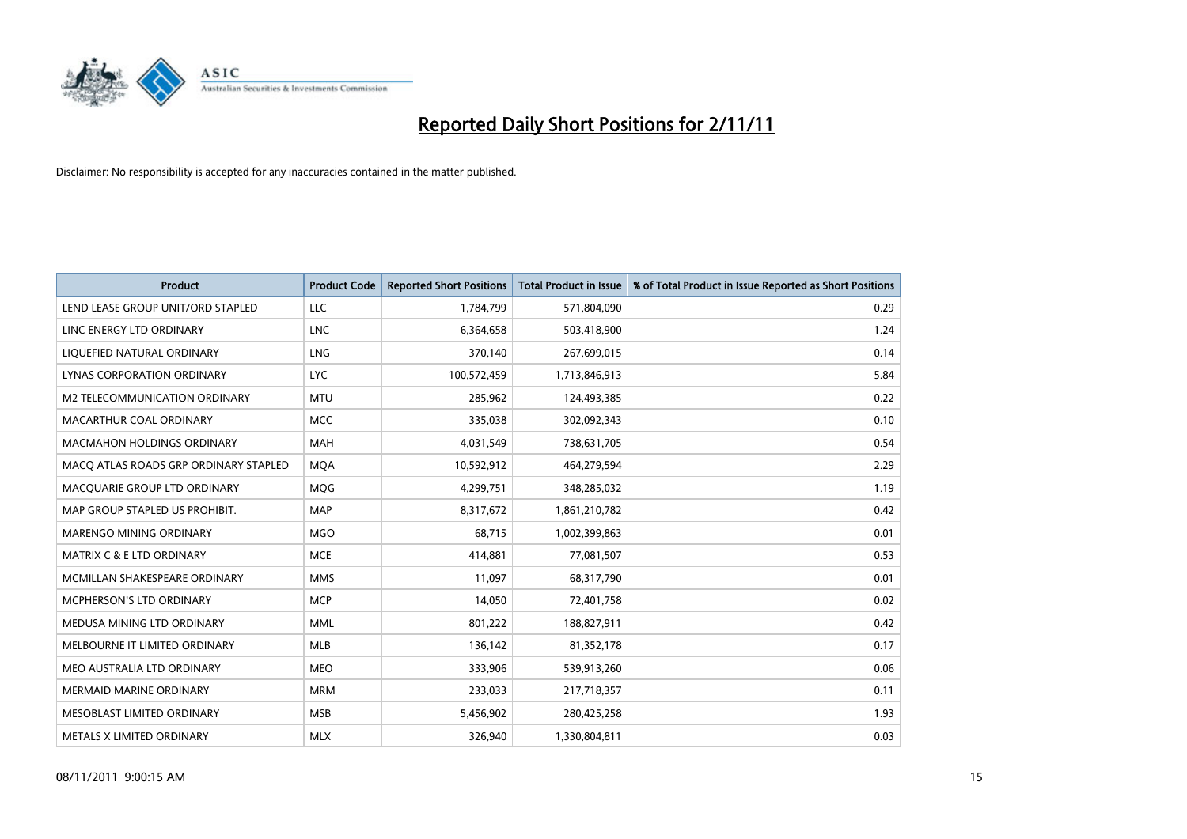

| <b>Product</b>                        | <b>Product Code</b> | <b>Reported Short Positions</b> | <b>Total Product in Issue</b> | % of Total Product in Issue Reported as Short Positions |
|---------------------------------------|---------------------|---------------------------------|-------------------------------|---------------------------------------------------------|
| LEND LEASE GROUP UNIT/ORD STAPLED     | LLC                 | 1,784,799                       | 571,804,090                   | 0.29                                                    |
| LINC ENERGY LTD ORDINARY              | <b>LNC</b>          | 6,364,658                       | 503,418,900                   | 1.24                                                    |
| LIQUEFIED NATURAL ORDINARY            | LNG                 | 370,140                         | 267,699,015                   | 0.14                                                    |
| LYNAS CORPORATION ORDINARY            | <b>LYC</b>          | 100,572,459                     | 1,713,846,913                 | 5.84                                                    |
| M2 TELECOMMUNICATION ORDINARY         | <b>MTU</b>          | 285,962                         | 124,493,385                   | 0.22                                                    |
| MACARTHUR COAL ORDINARY               | <b>MCC</b>          | 335,038                         | 302,092,343                   | 0.10                                                    |
| <b>MACMAHON HOLDINGS ORDINARY</b>     | <b>MAH</b>          | 4,031,549                       | 738,631,705                   | 0.54                                                    |
| MACO ATLAS ROADS GRP ORDINARY STAPLED | <b>MQA</b>          | 10,592,912                      | 464,279,594                   | 2.29                                                    |
| MACQUARIE GROUP LTD ORDINARY          | <b>MOG</b>          | 4,299,751                       | 348,285,032                   | 1.19                                                    |
| MAP GROUP STAPLED US PROHIBIT.        | <b>MAP</b>          | 8,317,672                       | 1,861,210,782                 | 0.42                                                    |
| MARENGO MINING ORDINARY               | <b>MGO</b>          | 68,715                          | 1,002,399,863                 | 0.01                                                    |
| <b>MATRIX C &amp; E LTD ORDINARY</b>  | <b>MCE</b>          | 414,881                         | 77,081,507                    | 0.53                                                    |
| MCMILLAN SHAKESPEARE ORDINARY         | <b>MMS</b>          | 11,097                          | 68,317,790                    | 0.01                                                    |
| MCPHERSON'S LTD ORDINARY              | <b>MCP</b>          | 14,050                          | 72,401,758                    | 0.02                                                    |
| MEDUSA MINING LTD ORDINARY            | <b>MML</b>          | 801,222                         | 188,827,911                   | 0.42                                                    |
| MELBOURNE IT LIMITED ORDINARY         | <b>MLB</b>          | 136,142                         | 81,352,178                    | 0.17                                                    |
| MEO AUSTRALIA LTD ORDINARY            | <b>MEO</b>          | 333,906                         | 539,913,260                   | 0.06                                                    |
| MERMAID MARINE ORDINARY               | <b>MRM</b>          | 233,033                         | 217,718,357                   | 0.11                                                    |
| MESOBLAST LIMITED ORDINARY            | <b>MSB</b>          | 5,456,902                       | 280,425,258                   | 1.93                                                    |
| METALS X LIMITED ORDINARY             | <b>MLX</b>          | 326.940                         | 1,330,804,811                 | 0.03                                                    |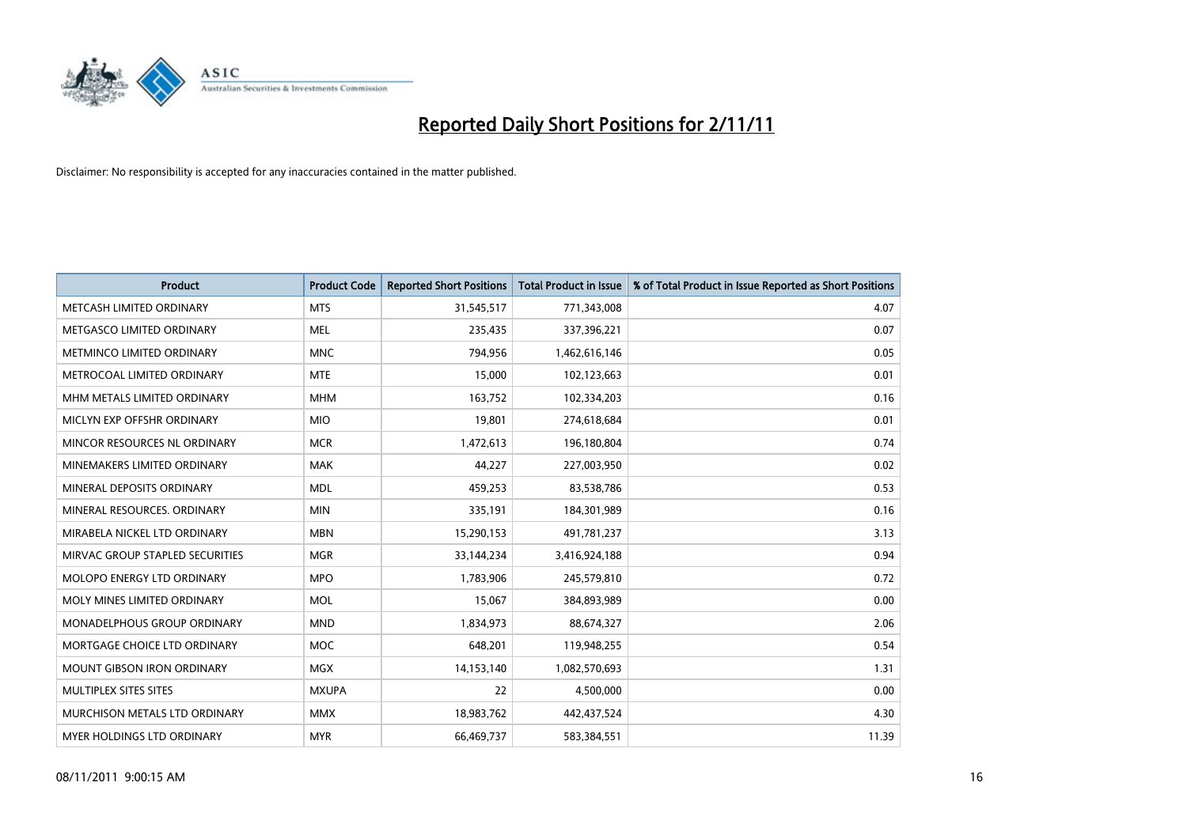

| <b>Product</b>                     | <b>Product Code</b> | <b>Reported Short Positions</b> | <b>Total Product in Issue</b> | % of Total Product in Issue Reported as Short Positions |
|------------------------------------|---------------------|---------------------------------|-------------------------------|---------------------------------------------------------|
| METCASH LIMITED ORDINARY           | <b>MTS</b>          | 31,545,517                      | 771,343,008                   | 4.07                                                    |
| METGASCO LIMITED ORDINARY          | <b>MEL</b>          | 235,435                         | 337,396,221                   | 0.07                                                    |
| METMINCO LIMITED ORDINARY          | <b>MNC</b>          | 794,956                         | 1,462,616,146                 | 0.05                                                    |
| METROCOAL LIMITED ORDINARY         | <b>MTE</b>          | 15,000                          | 102,123,663                   | 0.01                                                    |
| MHM METALS LIMITED ORDINARY        | <b>MHM</b>          | 163,752                         | 102,334,203                   | 0.16                                                    |
| MICLYN EXP OFFSHR ORDINARY         | <b>MIO</b>          | 19,801                          | 274,618,684                   | 0.01                                                    |
| MINCOR RESOURCES NL ORDINARY       | <b>MCR</b>          | 1,472,613                       | 196,180,804                   | 0.74                                                    |
| MINEMAKERS LIMITED ORDINARY        | <b>MAK</b>          | 44.227                          | 227,003,950                   | 0.02                                                    |
| MINERAL DEPOSITS ORDINARY          | <b>MDL</b>          | 459,253                         | 83,538,786                    | 0.53                                                    |
| MINERAL RESOURCES, ORDINARY        | <b>MIN</b>          | 335,191                         | 184,301,989                   | 0.16                                                    |
| MIRABELA NICKEL LTD ORDINARY       | <b>MBN</b>          | 15,290,153                      | 491,781,237                   | 3.13                                                    |
| MIRVAC GROUP STAPLED SECURITIES    | <b>MGR</b>          | 33,144,234                      | 3,416,924,188                 | 0.94                                                    |
| MOLOPO ENERGY LTD ORDINARY         | <b>MPO</b>          | 1,783,906                       | 245,579,810                   | 0.72                                                    |
| MOLY MINES LIMITED ORDINARY        | <b>MOL</b>          | 15,067                          | 384,893,989                   | 0.00                                                    |
| <b>MONADELPHOUS GROUP ORDINARY</b> | <b>MND</b>          | 1,834,973                       | 88,674,327                    | 2.06                                                    |
| MORTGAGE CHOICE LTD ORDINARY       | <b>MOC</b>          | 648,201                         | 119,948,255                   | 0.54                                                    |
| MOUNT GIBSON IRON ORDINARY         | <b>MGX</b>          | 14,153,140                      | 1,082,570,693                 | 1.31                                                    |
| MULTIPLEX SITES SITES              | <b>MXUPA</b>        | 22                              | 4,500,000                     | 0.00                                                    |
| MURCHISON METALS LTD ORDINARY      | <b>MMX</b>          | 18,983,762                      | 442,437,524                   | 4.30                                                    |
| MYER HOLDINGS LTD ORDINARY         | <b>MYR</b>          | 66,469,737                      | 583,384,551                   | 11.39                                                   |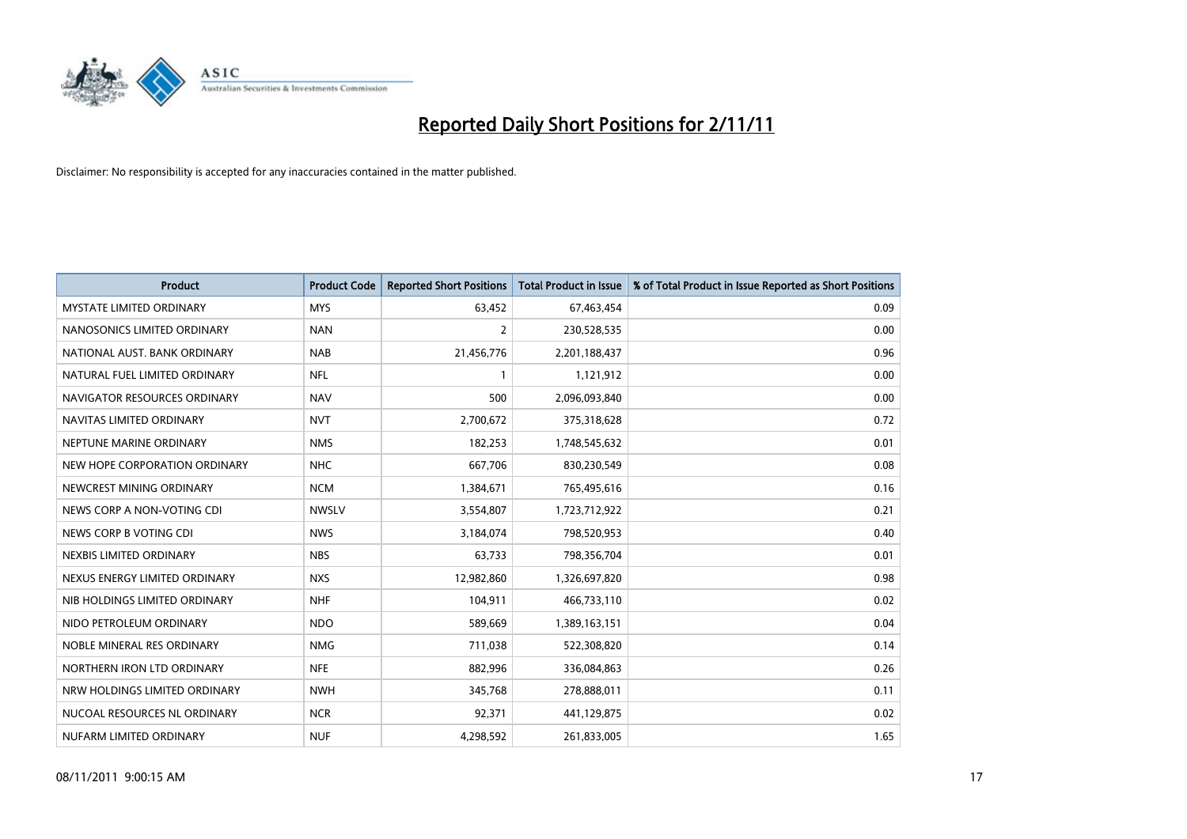

| <b>Product</b>                  | <b>Product Code</b> | <b>Reported Short Positions</b> | <b>Total Product in Issue</b> | % of Total Product in Issue Reported as Short Positions |
|---------------------------------|---------------------|---------------------------------|-------------------------------|---------------------------------------------------------|
| <b>MYSTATE LIMITED ORDINARY</b> | <b>MYS</b>          | 63,452                          | 67,463,454                    | 0.09                                                    |
| NANOSONICS LIMITED ORDINARY     | <b>NAN</b>          | 2                               | 230,528,535                   | 0.00                                                    |
| NATIONAL AUST. BANK ORDINARY    | <b>NAB</b>          | 21,456,776                      | 2,201,188,437                 | 0.96                                                    |
| NATURAL FUEL LIMITED ORDINARY   | <b>NFL</b>          | 1                               | 1,121,912                     | 0.00                                                    |
| NAVIGATOR RESOURCES ORDINARY    | <b>NAV</b>          | 500                             | 2,096,093,840                 | 0.00                                                    |
| NAVITAS LIMITED ORDINARY        | <b>NVT</b>          | 2,700,672                       | 375,318,628                   | 0.72                                                    |
| NEPTUNE MARINE ORDINARY         | <b>NMS</b>          | 182,253                         | 1,748,545,632                 | 0.01                                                    |
| NEW HOPE CORPORATION ORDINARY   | <b>NHC</b>          | 667,706                         | 830,230,549                   | 0.08                                                    |
| NEWCREST MINING ORDINARY        | <b>NCM</b>          | 1,384,671                       | 765,495,616                   | 0.16                                                    |
| NEWS CORP A NON-VOTING CDI      | <b>NWSLV</b>        | 3,554,807                       | 1,723,712,922                 | 0.21                                                    |
| NEWS CORP B VOTING CDI          | <b>NWS</b>          | 3,184,074                       | 798,520,953                   | 0.40                                                    |
| NEXBIS LIMITED ORDINARY         | <b>NBS</b>          | 63,733                          | 798,356,704                   | 0.01                                                    |
| NEXUS ENERGY LIMITED ORDINARY   | <b>NXS</b>          | 12,982,860                      | 1,326,697,820                 | 0.98                                                    |
| NIB HOLDINGS LIMITED ORDINARY   | <b>NHF</b>          | 104,911                         | 466,733,110                   | 0.02                                                    |
| NIDO PETROLEUM ORDINARY         | <b>NDO</b>          | 589,669                         | 1,389,163,151                 | 0.04                                                    |
| NOBLE MINERAL RES ORDINARY      | <b>NMG</b>          | 711,038                         | 522,308,820                   | 0.14                                                    |
| NORTHERN IRON LTD ORDINARY      | <b>NFE</b>          | 882,996                         | 336,084,863                   | 0.26                                                    |
| NRW HOLDINGS LIMITED ORDINARY   | <b>NWH</b>          | 345,768                         | 278,888,011                   | 0.11                                                    |
| NUCOAL RESOURCES NL ORDINARY    | <b>NCR</b>          | 92,371                          | 441,129,875                   | 0.02                                                    |
| NUFARM LIMITED ORDINARY         | <b>NUF</b>          | 4,298,592                       | 261,833,005                   | 1.65                                                    |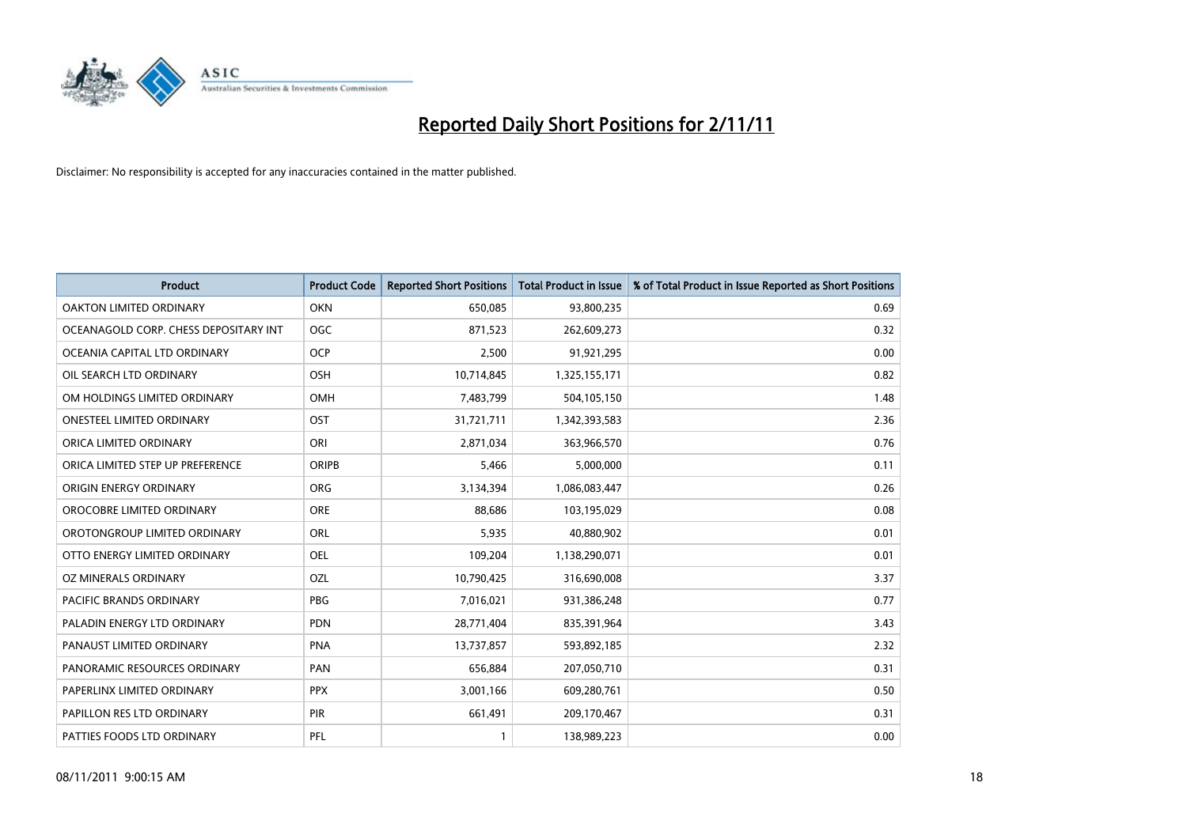

| <b>Product</b>                        | <b>Product Code</b> | <b>Reported Short Positions</b> | <b>Total Product in Issue</b> | % of Total Product in Issue Reported as Short Positions |
|---------------------------------------|---------------------|---------------------------------|-------------------------------|---------------------------------------------------------|
| <b>OAKTON LIMITED ORDINARY</b>        | <b>OKN</b>          | 650,085                         | 93,800,235                    | 0.69                                                    |
| OCEANAGOLD CORP. CHESS DEPOSITARY INT | <b>OGC</b>          | 871,523                         | 262,609,273                   | 0.32                                                    |
| OCEANIA CAPITAL LTD ORDINARY          | <b>OCP</b>          | 2,500                           | 91,921,295                    | 0.00                                                    |
| OIL SEARCH LTD ORDINARY               | OSH                 | 10,714,845                      | 1,325,155,171                 | 0.82                                                    |
| OM HOLDINGS LIMITED ORDINARY          | OMH                 | 7,483,799                       | 504,105,150                   | 1.48                                                    |
| <b>ONESTEEL LIMITED ORDINARY</b>      | OST                 | 31,721,711                      | 1,342,393,583                 | 2.36                                                    |
| ORICA LIMITED ORDINARY                | ORI                 | 2,871,034                       | 363,966,570                   | 0.76                                                    |
| ORICA LIMITED STEP UP PREFERENCE      | <b>ORIPB</b>        | 5,466                           | 5,000,000                     | 0.11                                                    |
| ORIGIN ENERGY ORDINARY                | <b>ORG</b>          | 3,134,394                       | 1,086,083,447                 | 0.26                                                    |
| OROCOBRE LIMITED ORDINARY             | <b>ORE</b>          | 88,686                          | 103,195,029                   | 0.08                                                    |
| OROTONGROUP LIMITED ORDINARY          | <b>ORL</b>          | 5,935                           | 40,880,902                    | 0.01                                                    |
| OTTO ENERGY LIMITED ORDINARY          | <b>OEL</b>          | 109,204                         | 1,138,290,071                 | 0.01                                                    |
| OZ MINERALS ORDINARY                  | OZL                 | 10,790,425                      | 316,690,008                   | 3.37                                                    |
| PACIFIC BRANDS ORDINARY               | <b>PBG</b>          | 7,016,021                       | 931,386,248                   | 0.77                                                    |
| PALADIN ENERGY LTD ORDINARY           | <b>PDN</b>          | 28,771,404                      | 835,391,964                   | 3.43                                                    |
| PANAUST LIMITED ORDINARY              | <b>PNA</b>          | 13,737,857                      | 593,892,185                   | 2.32                                                    |
| PANORAMIC RESOURCES ORDINARY          | PAN                 | 656,884                         | 207,050,710                   | 0.31                                                    |
| PAPERLINX LIMITED ORDINARY            | <b>PPX</b>          | 3,001,166                       | 609,280,761                   | 0.50                                                    |
| PAPILLON RES LTD ORDINARY             | <b>PIR</b>          | 661,491                         | 209,170,467                   | 0.31                                                    |
| PATTIES FOODS LTD ORDINARY            | PFL                 |                                 | 138,989,223                   | 0.00                                                    |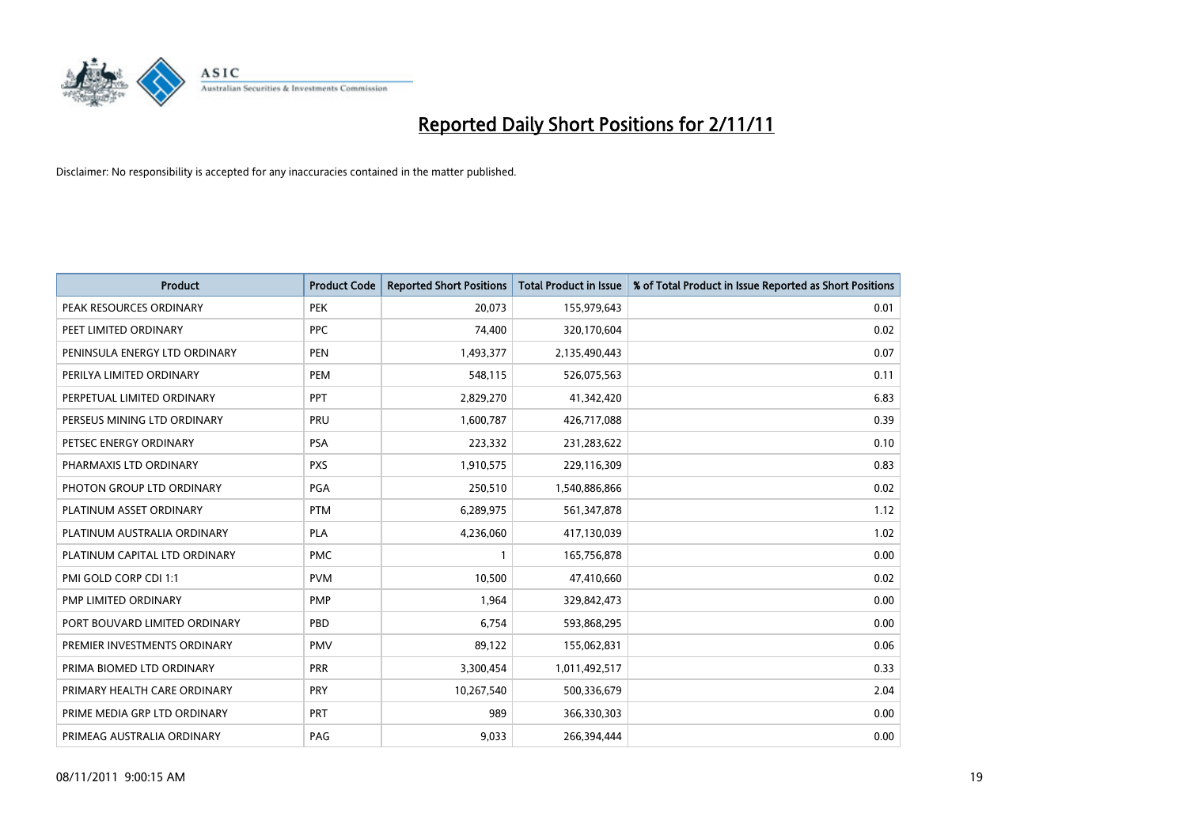

| <b>Product</b>                | <b>Product Code</b> | <b>Reported Short Positions</b> | <b>Total Product in Issue</b> | % of Total Product in Issue Reported as Short Positions |
|-------------------------------|---------------------|---------------------------------|-------------------------------|---------------------------------------------------------|
| PEAK RESOURCES ORDINARY       | <b>PEK</b>          | 20,073                          | 155,979,643                   | 0.01                                                    |
| PEET LIMITED ORDINARY         | <b>PPC</b>          | 74,400                          | 320,170,604                   | 0.02                                                    |
| PENINSULA ENERGY LTD ORDINARY | <b>PEN</b>          | 1,493,377                       | 2,135,490,443                 | 0.07                                                    |
| PERILYA LIMITED ORDINARY      | PEM                 | 548,115                         | 526,075,563                   | 0.11                                                    |
| PERPETUAL LIMITED ORDINARY    | <b>PPT</b>          | 2,829,270                       | 41,342,420                    | 6.83                                                    |
| PERSEUS MINING LTD ORDINARY   | PRU                 | 1,600,787                       | 426,717,088                   | 0.39                                                    |
| PETSEC ENERGY ORDINARY        | <b>PSA</b>          | 223,332                         | 231,283,622                   | 0.10                                                    |
| PHARMAXIS LTD ORDINARY        | <b>PXS</b>          | 1,910,575                       | 229,116,309                   | 0.83                                                    |
| PHOTON GROUP LTD ORDINARY     | <b>PGA</b>          | 250,510                         | 1,540,886,866                 | 0.02                                                    |
| PLATINUM ASSET ORDINARY       | <b>PTM</b>          | 6,289,975                       | 561,347,878                   | 1.12                                                    |
| PLATINUM AUSTRALIA ORDINARY   | <b>PLA</b>          | 4,236,060                       | 417,130,039                   | 1.02                                                    |
| PLATINUM CAPITAL LTD ORDINARY | <b>PMC</b>          |                                 | 165,756,878                   | 0.00                                                    |
| PMI GOLD CORP CDI 1:1         | <b>PVM</b>          | 10,500                          | 47,410,660                    | 0.02                                                    |
| PMP LIMITED ORDINARY          | <b>PMP</b>          | 1,964                           | 329,842,473                   | 0.00                                                    |
| PORT BOUVARD LIMITED ORDINARY | PBD                 | 6,754                           | 593,868,295                   | 0.00                                                    |
| PREMIER INVESTMENTS ORDINARY  | <b>PMV</b>          | 89,122                          | 155,062,831                   | 0.06                                                    |
| PRIMA BIOMED LTD ORDINARY     | <b>PRR</b>          | 3,300,454                       | 1,011,492,517                 | 0.33                                                    |
| PRIMARY HEALTH CARE ORDINARY  | PRY                 | 10,267,540                      | 500,336,679                   | 2.04                                                    |
| PRIME MEDIA GRP LTD ORDINARY  | <b>PRT</b>          | 989                             | 366,330,303                   | 0.00                                                    |
| PRIMEAG AUSTRALIA ORDINARY    | PAG                 | 9,033                           | 266,394,444                   | 0.00                                                    |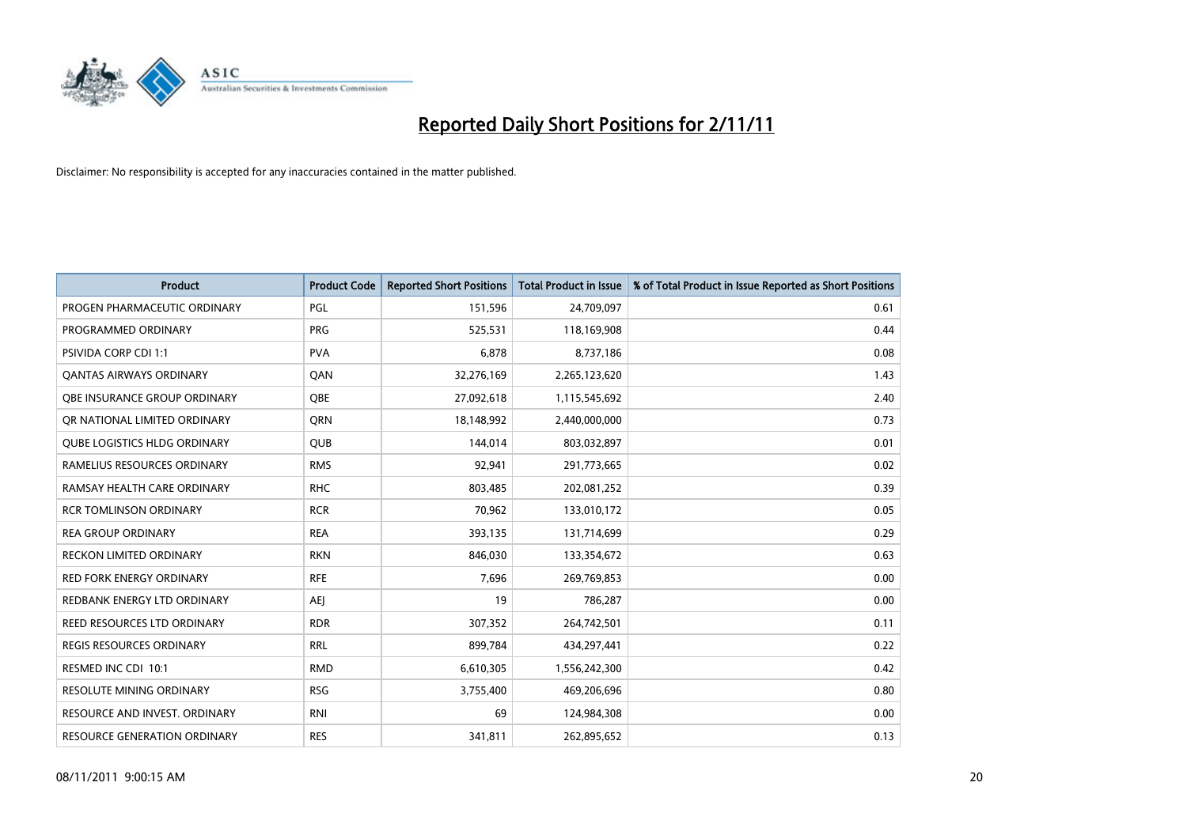

| <b>Product</b>                      | <b>Product Code</b> | <b>Reported Short Positions</b> | <b>Total Product in Issue</b> | % of Total Product in Issue Reported as Short Positions |
|-------------------------------------|---------------------|---------------------------------|-------------------------------|---------------------------------------------------------|
| PROGEN PHARMACEUTIC ORDINARY        | PGL                 | 151,596                         | 24,709,097                    | 0.61                                                    |
| PROGRAMMED ORDINARY                 | <b>PRG</b>          | 525,531                         | 118,169,908                   | 0.44                                                    |
| <b>PSIVIDA CORP CDI 1:1</b>         | <b>PVA</b>          | 6.878                           | 8,737,186                     | 0.08                                                    |
| <b>QANTAS AIRWAYS ORDINARY</b>      | QAN                 | 32,276,169                      | 2,265,123,620                 | 1.43                                                    |
| OBE INSURANCE GROUP ORDINARY        | <b>OBE</b>          | 27,092,618                      | 1,115,545,692                 | 2.40                                                    |
| OR NATIONAL LIMITED ORDINARY        | <b>ORN</b>          | 18,148,992                      | 2,440,000,000                 | 0.73                                                    |
| <b>QUBE LOGISTICS HLDG ORDINARY</b> | QUB                 | 144,014                         | 803,032,897                   | 0.01                                                    |
| RAMELIUS RESOURCES ORDINARY         | <b>RMS</b>          | 92,941                          | 291,773,665                   | 0.02                                                    |
| RAMSAY HEALTH CARE ORDINARY         | <b>RHC</b>          | 803,485                         | 202,081,252                   | 0.39                                                    |
| <b>RCR TOMLINSON ORDINARY</b>       | <b>RCR</b>          | 70,962                          | 133,010,172                   | 0.05                                                    |
| <b>REA GROUP ORDINARY</b>           | <b>REA</b>          | 393,135                         | 131,714,699                   | 0.29                                                    |
| <b>RECKON LIMITED ORDINARY</b>      | <b>RKN</b>          | 846,030                         | 133,354,672                   | 0.63                                                    |
| RED FORK ENERGY ORDINARY            | <b>RFE</b>          | 7,696                           | 269,769,853                   | 0.00                                                    |
| REDBANK ENERGY LTD ORDINARY         | AEJ                 | 19                              | 786,287                       | 0.00                                                    |
| REED RESOURCES LTD ORDINARY         | <b>RDR</b>          | 307,352                         | 264,742,501                   | 0.11                                                    |
| REGIS RESOURCES ORDINARY            | <b>RRL</b>          | 899,784                         | 434,297,441                   | 0.22                                                    |
| RESMED INC CDI 10:1                 | <b>RMD</b>          | 6,610,305                       | 1,556,242,300                 | 0.42                                                    |
| RESOLUTE MINING ORDINARY            | <b>RSG</b>          | 3,755,400                       | 469,206,696                   | 0.80                                                    |
| RESOURCE AND INVEST. ORDINARY       | <b>RNI</b>          | 69                              | 124,984,308                   | 0.00                                                    |
| RESOURCE GENERATION ORDINARY        | <b>RES</b>          | 341,811                         | 262,895,652                   | 0.13                                                    |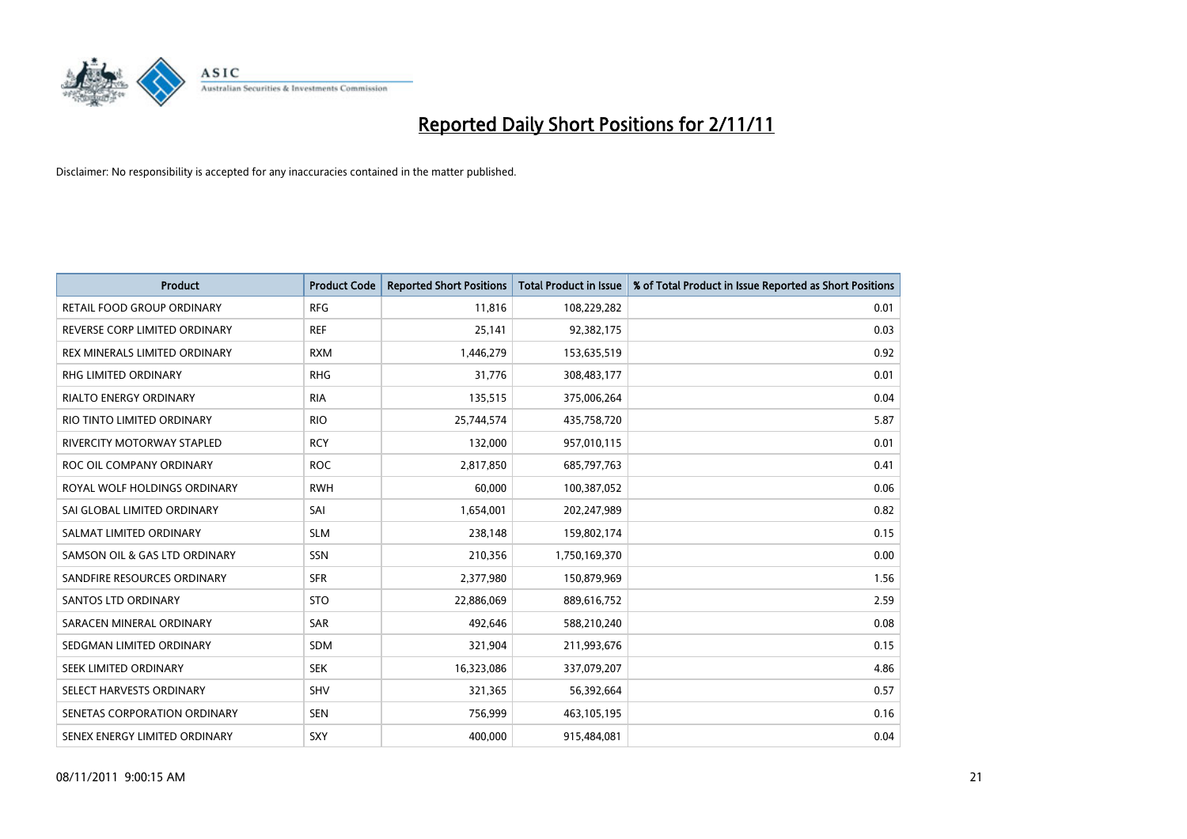

| <b>Product</b>                    | <b>Product Code</b> | <b>Reported Short Positions</b> | <b>Total Product in Issue</b> | % of Total Product in Issue Reported as Short Positions |
|-----------------------------------|---------------------|---------------------------------|-------------------------------|---------------------------------------------------------|
| RETAIL FOOD GROUP ORDINARY        | <b>RFG</b>          | 11,816                          | 108,229,282                   | 0.01                                                    |
| REVERSE CORP LIMITED ORDINARY     | <b>REF</b>          | 25,141                          | 92,382,175                    | 0.03                                                    |
| REX MINERALS LIMITED ORDINARY     | <b>RXM</b>          | 1,446,279                       | 153,635,519                   | 0.92                                                    |
| RHG LIMITED ORDINARY              | <b>RHG</b>          | 31,776                          | 308,483,177                   | 0.01                                                    |
| <b>RIALTO ENERGY ORDINARY</b>     | <b>RIA</b>          | 135,515                         | 375,006,264                   | 0.04                                                    |
| RIO TINTO LIMITED ORDINARY        | <b>RIO</b>          | 25,744,574                      | 435,758,720                   | 5.87                                                    |
| <b>RIVERCITY MOTORWAY STAPLED</b> | <b>RCY</b>          | 132,000                         | 957,010,115                   | 0.01                                                    |
| ROC OIL COMPANY ORDINARY          | <b>ROC</b>          | 2,817,850                       | 685,797,763                   | 0.41                                                    |
| ROYAL WOLF HOLDINGS ORDINARY      | <b>RWH</b>          | 60,000                          | 100,387,052                   | 0.06                                                    |
| SAI GLOBAL LIMITED ORDINARY       | SAI                 | 1,654,001                       | 202,247,989                   | 0.82                                                    |
| SALMAT LIMITED ORDINARY           | <b>SLM</b>          | 238,148                         | 159,802,174                   | 0.15                                                    |
| SAMSON OIL & GAS LTD ORDINARY     | SSN                 | 210,356                         | 1,750,169,370                 | 0.00                                                    |
| SANDFIRE RESOURCES ORDINARY       | <b>SFR</b>          | 2,377,980                       | 150,879,969                   | 1.56                                                    |
| <b>SANTOS LTD ORDINARY</b>        | <b>STO</b>          | 22,886,069                      | 889,616,752                   | 2.59                                                    |
| SARACEN MINERAL ORDINARY          | SAR                 | 492,646                         | 588,210,240                   | 0.08                                                    |
| SEDGMAN LIMITED ORDINARY          | <b>SDM</b>          | 321,904                         | 211,993,676                   | 0.15                                                    |
| SEEK LIMITED ORDINARY             | <b>SEK</b>          | 16,323,086                      | 337,079,207                   | 4.86                                                    |
| SELECT HARVESTS ORDINARY          | SHV                 | 321,365                         | 56,392,664                    | 0.57                                                    |
| SENETAS CORPORATION ORDINARY      | <b>SEN</b>          | 756,999                         | 463,105,195                   | 0.16                                                    |
| SENEX ENERGY LIMITED ORDINARY     | SXY                 | 400,000                         | 915,484,081                   | 0.04                                                    |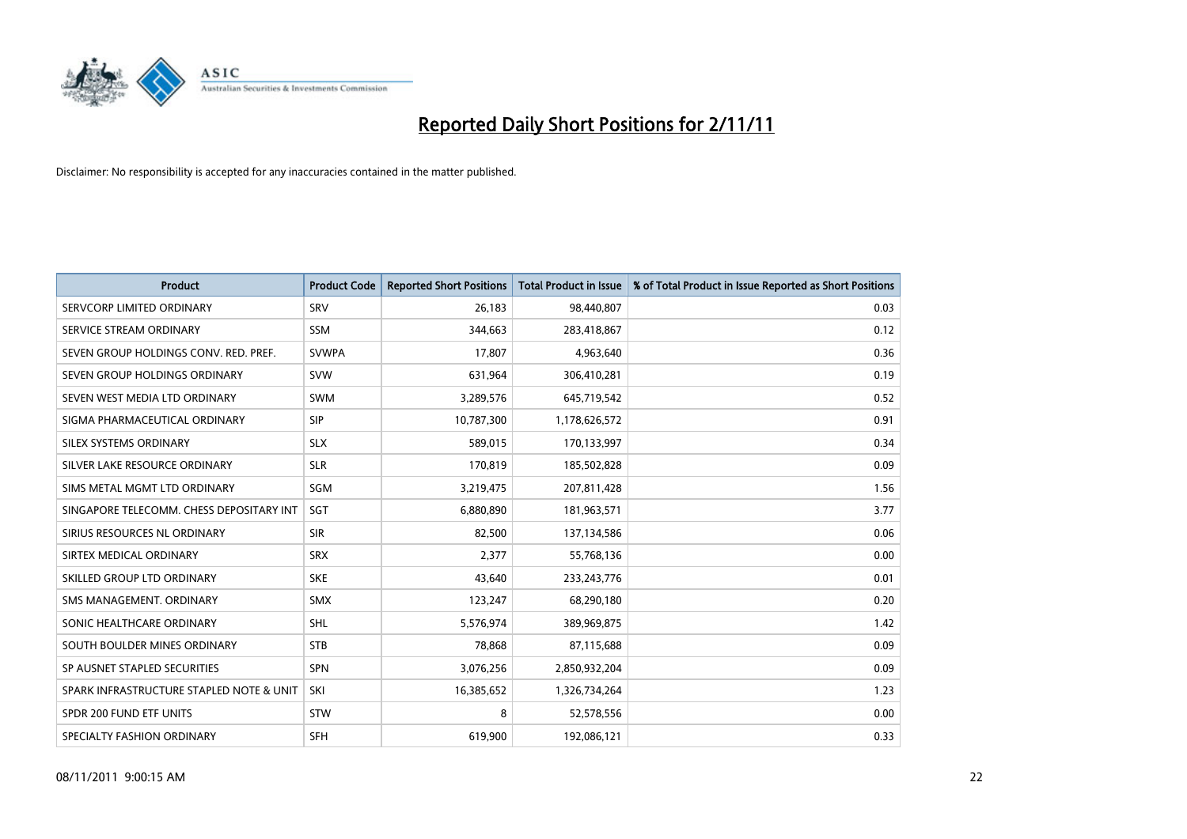

| <b>Product</b>                           | <b>Product Code</b> | <b>Reported Short Positions</b> | <b>Total Product in Issue</b> | % of Total Product in Issue Reported as Short Positions |
|------------------------------------------|---------------------|---------------------------------|-------------------------------|---------------------------------------------------------|
| SERVCORP LIMITED ORDINARY                | SRV                 | 26,183                          | 98,440,807                    | 0.03                                                    |
| SERVICE STREAM ORDINARY                  | <b>SSM</b>          | 344,663                         | 283,418,867                   | 0.12                                                    |
| SEVEN GROUP HOLDINGS CONV. RED. PREF.    | <b>SVWPA</b>        | 17,807                          | 4,963,640                     | 0.36                                                    |
| SEVEN GROUP HOLDINGS ORDINARY            | <b>SVW</b>          | 631,964                         | 306,410,281                   | 0.19                                                    |
| SEVEN WEST MEDIA LTD ORDINARY            | <b>SWM</b>          | 3,289,576                       | 645,719,542                   | 0.52                                                    |
| SIGMA PHARMACEUTICAL ORDINARY            | <b>SIP</b>          | 10,787,300                      | 1,178,626,572                 | 0.91                                                    |
| SILEX SYSTEMS ORDINARY                   | <b>SLX</b>          | 589,015                         | 170,133,997                   | 0.34                                                    |
| SILVER LAKE RESOURCE ORDINARY            | <b>SLR</b>          | 170,819                         | 185,502,828                   | 0.09                                                    |
| SIMS METAL MGMT LTD ORDINARY             | SGM                 | 3,219,475                       | 207,811,428                   | 1.56                                                    |
| SINGAPORE TELECOMM. CHESS DEPOSITARY INT | SGT                 | 6,880,890                       | 181,963,571                   | 3.77                                                    |
| SIRIUS RESOURCES NL ORDINARY             | <b>SIR</b>          | 82,500                          | 137,134,586                   | 0.06                                                    |
| SIRTEX MEDICAL ORDINARY                  | <b>SRX</b>          | 2,377                           | 55,768,136                    | 0.00                                                    |
| SKILLED GROUP LTD ORDINARY               | <b>SKE</b>          | 43,640                          | 233, 243, 776                 | 0.01                                                    |
| SMS MANAGEMENT, ORDINARY                 | <b>SMX</b>          | 123,247                         | 68,290,180                    | 0.20                                                    |
| SONIC HEALTHCARE ORDINARY                | <b>SHL</b>          | 5,576,974                       | 389,969,875                   | 1.42                                                    |
| SOUTH BOULDER MINES ORDINARY             | <b>STB</b>          | 78,868                          | 87,115,688                    | 0.09                                                    |
| SP AUSNET STAPLED SECURITIES             | <b>SPN</b>          | 3,076,256                       | 2,850,932,204                 | 0.09                                                    |
| SPARK INFRASTRUCTURE STAPLED NOTE & UNIT | SKI                 | 16,385,652                      | 1,326,734,264                 | 1.23                                                    |
| SPDR 200 FUND ETF UNITS                  | <b>STW</b>          | 8                               | 52,578,556                    | 0.00                                                    |
| SPECIALTY FASHION ORDINARY               | <b>SFH</b>          | 619,900                         | 192,086,121                   | 0.33                                                    |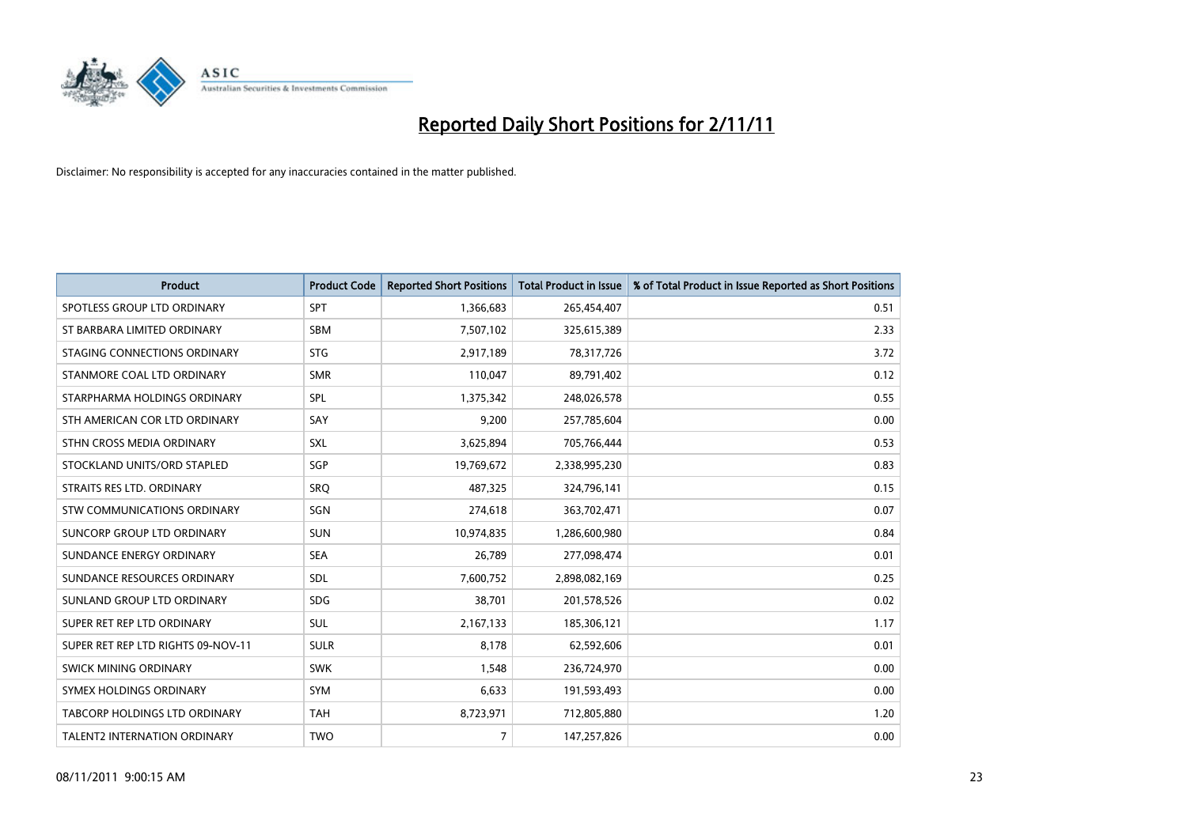

| <b>Product</b>                     | <b>Product Code</b> | <b>Reported Short Positions</b> | <b>Total Product in Issue</b> | % of Total Product in Issue Reported as Short Positions |
|------------------------------------|---------------------|---------------------------------|-------------------------------|---------------------------------------------------------|
| SPOTLESS GROUP LTD ORDINARY        | <b>SPT</b>          | 1,366,683                       | 265,454,407                   | 0.51                                                    |
| ST BARBARA LIMITED ORDINARY        | <b>SBM</b>          | 7,507,102                       | 325,615,389                   | 2.33                                                    |
| STAGING CONNECTIONS ORDINARY       | <b>STG</b>          | 2,917,189                       | 78,317,726                    | 3.72                                                    |
| STANMORE COAL LTD ORDINARY         | <b>SMR</b>          | 110,047                         | 89,791,402                    | 0.12                                                    |
| STARPHARMA HOLDINGS ORDINARY       | <b>SPL</b>          | 1,375,342                       | 248,026,578                   | 0.55                                                    |
| STH AMERICAN COR LTD ORDINARY      | SAY                 | 9,200                           | 257,785,604                   | 0.00                                                    |
| STHN CROSS MEDIA ORDINARY          | <b>SXL</b>          | 3,625,894                       | 705,766,444                   | 0.53                                                    |
| STOCKLAND UNITS/ORD STAPLED        | SGP                 | 19,769,672                      | 2,338,995,230                 | 0.83                                                    |
| STRAITS RES LTD. ORDINARY          | SRO                 | 487,325                         | 324,796,141                   | 0.15                                                    |
| STW COMMUNICATIONS ORDINARY        | SGN                 | 274,618                         | 363,702,471                   | 0.07                                                    |
| SUNCORP GROUP LTD ORDINARY         | <b>SUN</b>          | 10,974,835                      | 1,286,600,980                 | 0.84                                                    |
| SUNDANCE ENERGY ORDINARY           | <b>SEA</b>          | 26,789                          | 277,098,474                   | 0.01                                                    |
| SUNDANCE RESOURCES ORDINARY        | <b>SDL</b>          | 7,600,752                       | 2,898,082,169                 | 0.25                                                    |
| SUNLAND GROUP LTD ORDINARY         | <b>SDG</b>          | 38,701                          | 201,578,526                   | 0.02                                                    |
| SUPER RET REP LTD ORDINARY         | <b>SUL</b>          | 2,167,133                       | 185,306,121                   | 1.17                                                    |
| SUPER RET REP LTD RIGHTS 09-NOV-11 | <b>SULR</b>         | 8,178                           | 62,592,606                    | 0.01                                                    |
| SWICK MINING ORDINARY              | <b>SWK</b>          | 1,548                           | 236,724,970                   | 0.00                                                    |
| SYMEX HOLDINGS ORDINARY            | <b>SYM</b>          | 6,633                           | 191,593,493                   | 0.00                                                    |
| TABCORP HOLDINGS LTD ORDINARY      | <b>TAH</b>          | 8,723,971                       | 712,805,880                   | 1.20                                                    |
| TALENT2 INTERNATION ORDINARY       | <b>TWO</b>          | $\overline{7}$                  | 147,257,826                   | 0.00                                                    |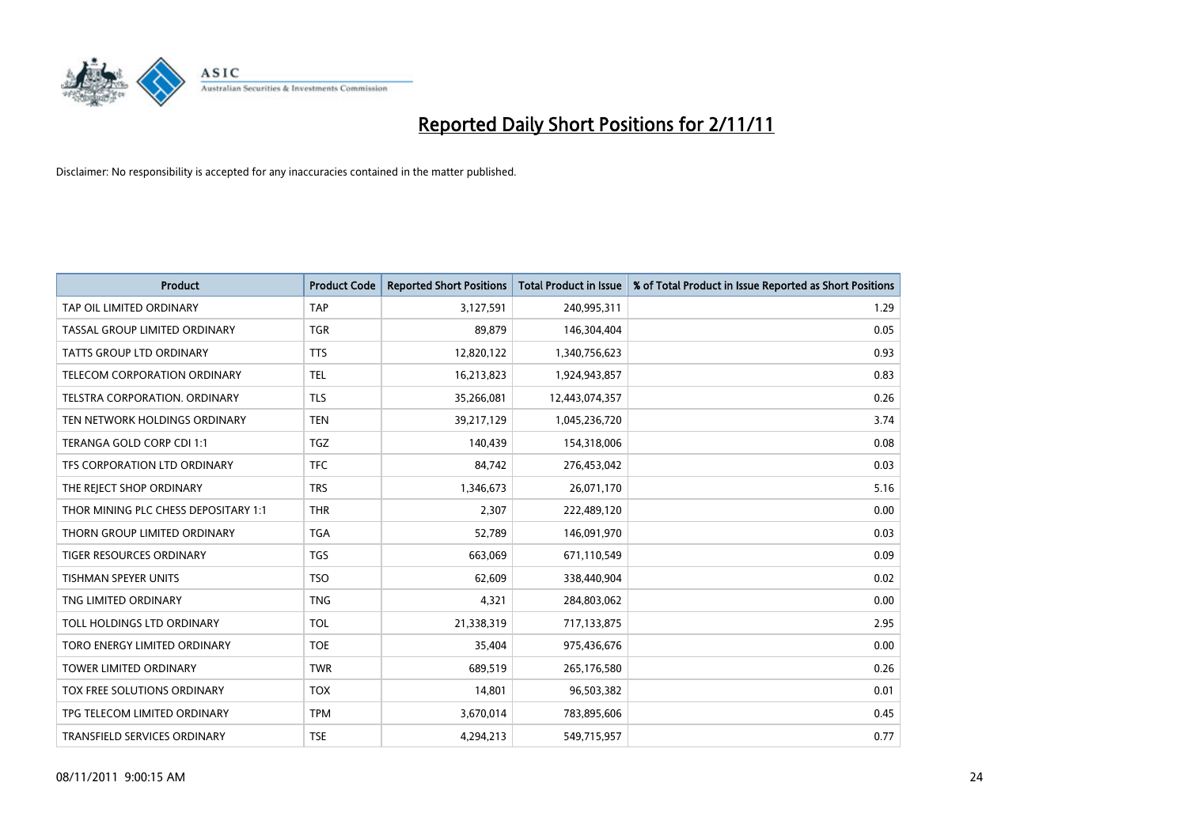

| <b>Product</b>                       | <b>Product Code</b> | <b>Reported Short Positions</b> | <b>Total Product in Issue</b> | % of Total Product in Issue Reported as Short Positions |
|--------------------------------------|---------------------|---------------------------------|-------------------------------|---------------------------------------------------------|
| TAP OIL LIMITED ORDINARY             | <b>TAP</b>          | 3,127,591                       | 240,995,311                   | 1.29                                                    |
| TASSAL GROUP LIMITED ORDINARY        | <b>TGR</b>          | 89,879                          | 146,304,404                   | 0.05                                                    |
| <b>TATTS GROUP LTD ORDINARY</b>      | <b>TTS</b>          | 12,820,122                      | 1,340,756,623                 | 0.93                                                    |
| TELECOM CORPORATION ORDINARY         | <b>TEL</b>          | 16,213,823                      | 1,924,943,857                 | 0.83                                                    |
| <b>TELSTRA CORPORATION, ORDINARY</b> | <b>TLS</b>          | 35,266,081                      | 12,443,074,357                | 0.26                                                    |
| TEN NETWORK HOLDINGS ORDINARY        | <b>TEN</b>          | 39,217,129                      | 1,045,236,720                 | 3.74                                                    |
| TERANGA GOLD CORP CDI 1:1            | <b>TGZ</b>          | 140,439                         | 154,318,006                   | 0.08                                                    |
| TFS CORPORATION LTD ORDINARY         | <b>TFC</b>          | 84,742                          | 276,453,042                   | 0.03                                                    |
| THE REJECT SHOP ORDINARY             | <b>TRS</b>          | 1,346,673                       | 26,071,170                    | 5.16                                                    |
| THOR MINING PLC CHESS DEPOSITARY 1:1 | <b>THR</b>          | 2,307                           | 222,489,120                   | 0.00                                                    |
| THORN GROUP LIMITED ORDINARY         | <b>TGA</b>          | 52,789                          | 146,091,970                   | 0.03                                                    |
| <b>TIGER RESOURCES ORDINARY</b>      | <b>TGS</b>          | 663,069                         | 671,110,549                   | 0.09                                                    |
| TISHMAN SPEYER UNITS                 | <b>TSO</b>          | 62,609                          | 338,440,904                   | 0.02                                                    |
| TNG LIMITED ORDINARY                 | <b>TNG</b>          | 4,321                           | 284,803,062                   | 0.00                                                    |
| TOLL HOLDINGS LTD ORDINARY           | <b>TOL</b>          | 21,338,319                      | 717,133,875                   | 2.95                                                    |
| TORO ENERGY LIMITED ORDINARY         | <b>TOE</b>          | 35,404                          | 975,436,676                   | 0.00                                                    |
| TOWER LIMITED ORDINARY               | <b>TWR</b>          | 689,519                         | 265,176,580                   | 0.26                                                    |
| TOX FREE SOLUTIONS ORDINARY          | <b>TOX</b>          | 14,801                          | 96,503,382                    | 0.01                                                    |
| TPG TELECOM LIMITED ORDINARY         | <b>TPM</b>          | 3,670,014                       | 783,895,606                   | 0.45                                                    |
| TRANSFIELD SERVICES ORDINARY         | <b>TSE</b>          | 4,294,213                       | 549,715,957                   | 0.77                                                    |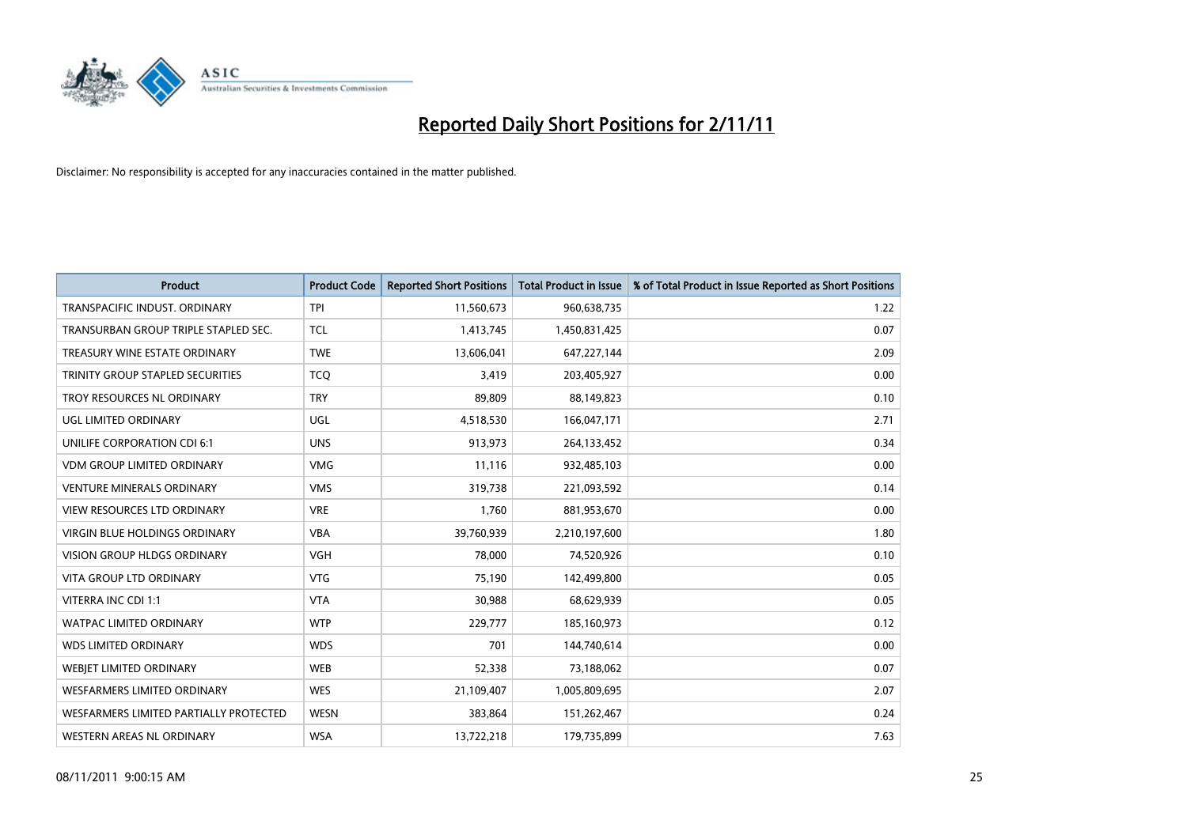

| <b>Product</b>                         | <b>Product Code</b> | <b>Reported Short Positions</b> | <b>Total Product in Issue</b> | % of Total Product in Issue Reported as Short Positions |
|----------------------------------------|---------------------|---------------------------------|-------------------------------|---------------------------------------------------------|
| TRANSPACIFIC INDUST, ORDINARY          | <b>TPI</b>          | 11,560,673                      | 960,638,735                   | 1.22                                                    |
| TRANSURBAN GROUP TRIPLE STAPLED SEC.   | <b>TCL</b>          | 1,413,745                       | 1,450,831,425                 | 0.07                                                    |
| TREASURY WINE ESTATE ORDINARY          | <b>TWE</b>          | 13,606,041                      | 647,227,144                   | 2.09                                                    |
| TRINITY GROUP STAPLED SECURITIES       | <b>TCQ</b>          | 3,419                           | 203,405,927                   | 0.00                                                    |
| TROY RESOURCES NL ORDINARY             | <b>TRY</b>          | 89,809                          | 88,149,823                    | 0.10                                                    |
| UGL LIMITED ORDINARY                   | UGL                 | 4,518,530                       | 166,047,171                   | 2.71                                                    |
| UNILIFE CORPORATION CDI 6:1            | <b>UNS</b>          | 913,973                         | 264,133,452                   | 0.34                                                    |
| <b>VDM GROUP LIMITED ORDINARY</b>      | <b>VMG</b>          | 11,116                          | 932,485,103                   | 0.00                                                    |
| <b>VENTURE MINERALS ORDINARY</b>       | <b>VMS</b>          | 319,738                         | 221,093,592                   | 0.14                                                    |
| <b>VIEW RESOURCES LTD ORDINARY</b>     | <b>VRE</b>          | 1,760                           | 881,953,670                   | 0.00                                                    |
| VIRGIN BLUE HOLDINGS ORDINARY          | <b>VBA</b>          | 39,760,939                      | 2,210,197,600                 | 1.80                                                    |
| <b>VISION GROUP HLDGS ORDINARY</b>     | <b>VGH</b>          | 78,000                          | 74,520,926                    | 0.10                                                    |
| VITA GROUP LTD ORDINARY                | <b>VTG</b>          | 75,190                          | 142,499,800                   | 0.05                                                    |
| VITERRA INC CDI 1:1                    | <b>VTA</b>          | 30,988                          | 68,629,939                    | 0.05                                                    |
| <b>WATPAC LIMITED ORDINARY</b>         | <b>WTP</b>          | 229,777                         | 185,160,973                   | 0.12                                                    |
| <b>WDS LIMITED ORDINARY</b>            | <b>WDS</b>          | 701                             | 144,740,614                   | 0.00                                                    |
| WEBIET LIMITED ORDINARY                | <b>WEB</b>          | 52,338                          | 73,188,062                    | 0.07                                                    |
| <b>WESFARMERS LIMITED ORDINARY</b>     | <b>WES</b>          | 21,109,407                      | 1,005,809,695                 | 2.07                                                    |
| WESFARMERS LIMITED PARTIALLY PROTECTED | <b>WESN</b>         | 383,864                         | 151,262,467                   | 0.24                                                    |
| WESTERN AREAS NL ORDINARY              | <b>WSA</b>          | 13,722,218                      | 179,735,899                   | 7.63                                                    |